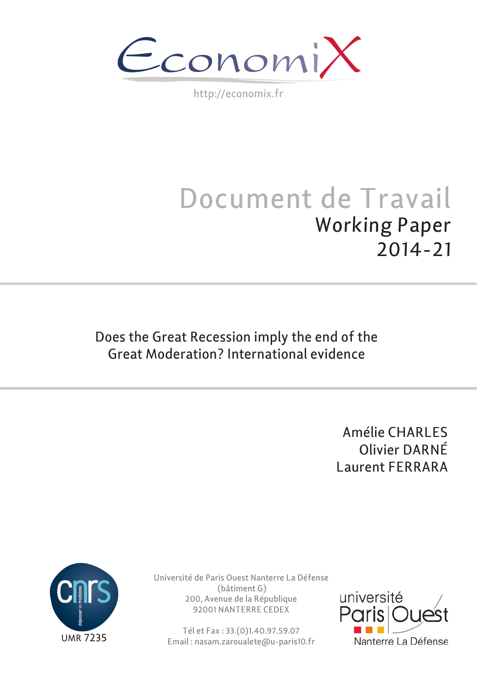$\epsilon$ conomi)

http://economix.fr

# Document de Travail Working Paper 2014-21

Does the Great Recession imply the end of the Great Moderation? International evidence

> Amélie CHARLES Olivier DARNÉ Laurent FERRARA



Université de Paris Ouest Nanterre La Défense (bâtiment G) 200, Avenue de la République 92001 NANTERRE CEDEX

Tél et Fax : 33.(0)1.40.97.59.07 Email : nasam.zaroualete@u-paris10.fr

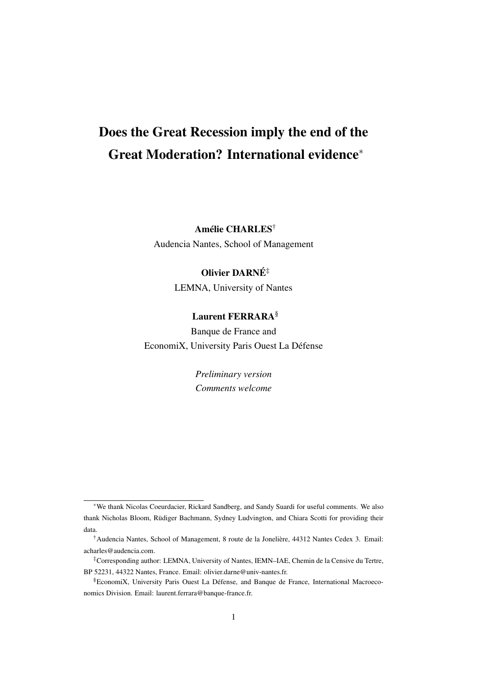# Does the Great Recession imply the end of the Great Moderation? International evidence*<sup>∗</sup>*

Amélie CHARLES†

Audencia Nantes, School of Management

# Olivier DARNÉ‡

LEMNA, University of Nantes

# Laurent FERRARA§

Banque de France and EconomiX, University Paris Ouest La Défense

> *Preliminary version Comments welcome*

*<sup>∗</sup>*We thank Nicolas Coeurdacier, Rickard Sandberg, and Sandy Suardi for useful comments. We also thank Nicholas Bloom, Rüdiger Bachmann, Sydney Ludvington, and Chiara Scotti for providing their data.

<sup>†</sup>Audencia Nantes, School of Management, 8 route de la Jonelière, 44312 Nantes Cedex 3. Email: acharles@audencia.com.

<sup>‡</sup>Corresponding author: LEMNA, University of Nantes, IEMN–IAE, Chemin de la Censive du Tertre, BP 52231, 44322 Nantes, France. Email: olivier.darne@univ-nantes.fr.

<sup>§</sup>EconomiX, University Paris Ouest La Défense, and Banque de France, International Macroeconomics Division. Email: laurent.ferrara@banque-france.fr.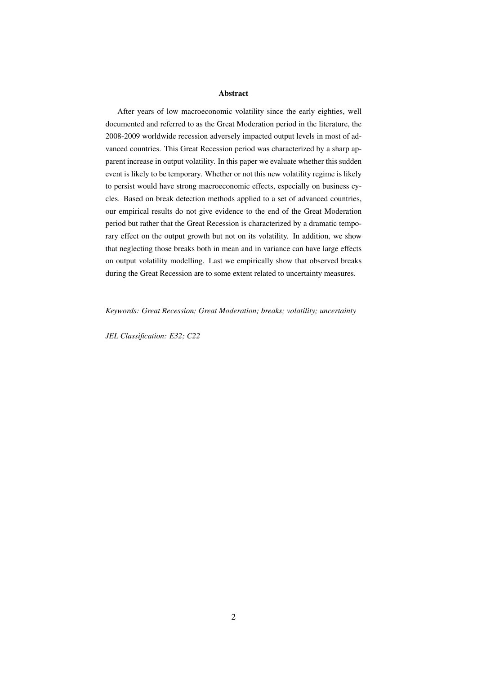#### Abstract

After years of low macroeconomic volatility since the early eighties, well documented and referred to as the Great Moderation period in the literature, the 2008-2009 worldwide recession adversely impacted output levels in most of advanced countries. This Great Recession period was characterized by a sharp apparent increase in output volatility. In this paper we evaluate whether this sudden event is likely to be temporary. Whether or not this new volatility regime is likely to persist would have strong macroeconomic effects, especially on business cycles. Based on break detection methods applied to a set of advanced countries, our empirical results do not give evidence to the end of the Great Moderation period but rather that the Great Recession is characterized by a dramatic temporary effect on the output growth but not on its volatility. In addition, we show that neglecting those breaks both in mean and in variance can have large effects on output volatility modelling. Last we empirically show that observed breaks during the Great Recession are to some extent related to uncertainty measures.

*Keywords: Great Recession; Great Moderation; breaks; volatility; uncertainty*

*JEL Classification: E32; C22*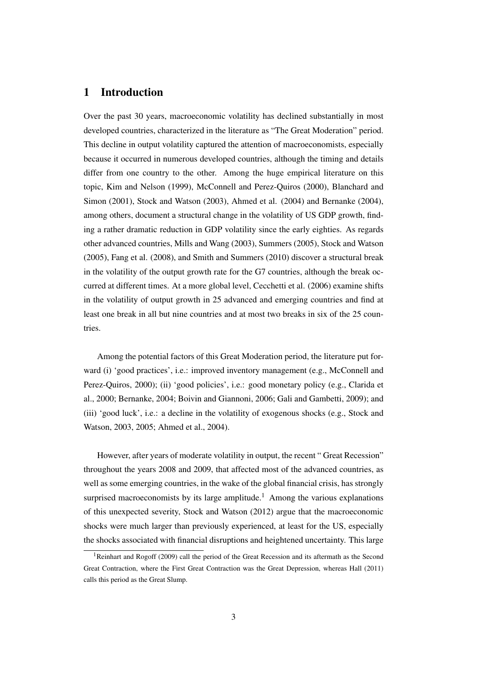# 1 Introduction

Over the past 30 years, macroeconomic volatility has declined substantially in most developed countries, characterized in the literature as "The Great Moderation" period. This decline in output volatility captured the attention of macroeconomists, especially because it occurred in numerous developed countries, although the timing and details differ from one country to the other. Among the huge empirical literature on this topic, Kim and Nelson (1999), McConnell and Perez-Quiros (2000), Blanchard and Simon (2001), Stock and Watson (2003), Ahmed et al. (2004) and Bernanke (2004), among others, document a structural change in the volatility of US GDP growth, finding a rather dramatic reduction in GDP volatility since the early eighties. As regards other advanced countries, Mills and Wang (2003), Summers (2005), Stock and Watson (2005), Fang et al. (2008), and Smith and Summers (2010) discover a structural break in the volatility of the output growth rate for the G7 countries, although the break occurred at different times. At a more global level, Cecchetti et al. (2006) examine shifts in the volatility of output growth in 25 advanced and emerging countries and find at least one break in all but nine countries and at most two breaks in six of the 25 countries.

Among the potential factors of this Great Moderation period, the literature put forward (i) 'good practices', i.e.: improved inventory management (e.g., McConnell and Perez-Quiros, 2000); (ii) 'good policies', i.e.: good monetary policy (e.g., Clarida et al., 2000; Bernanke, 2004; Boivin and Giannoni, 2006; Gali and Gambetti, 2009); and (iii) 'good luck', i.e.: a decline in the volatility of exogenous shocks (e.g., Stock and Watson, 2003, 2005; Ahmed et al., 2004).

However, after years of moderate volatility in output, the recent " Great Recession" throughout the years 2008 and 2009, that affected most of the advanced countries, as well as some emerging countries, in the wake of the global financial crisis, has strongly surprised macroeconomists by its large amplitude.<sup>1</sup> Among the various explanations of this unexpected severity, Stock and Watson (2012) argue that the macroeconomic shocks were much larger than previously experienced, at least for the US, especially the shocks associated with financial disruptions and heightened uncertainty. This large

<sup>&</sup>lt;sup>1</sup>Reinhart and Rogoff (2009) call the period of the Great Recession and its aftermath as the Second Great Contraction, where the First Great Contraction was the Great Depression, whereas Hall (2011) calls this period as the Great Slump.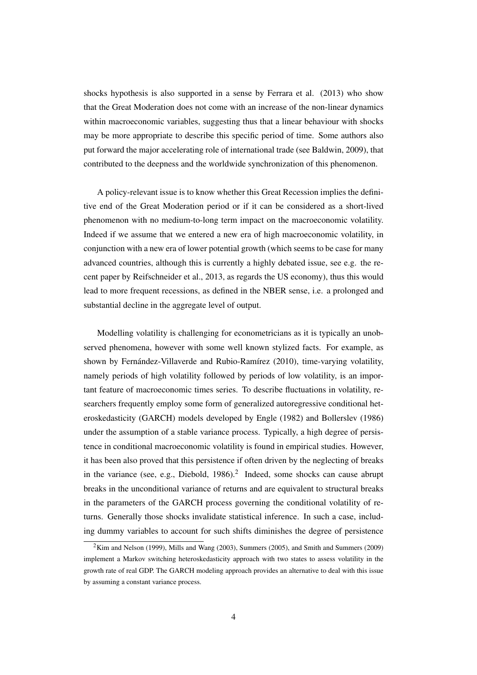shocks hypothesis is also supported in a sense by Ferrara et al. (2013) who show that the Great Moderation does not come with an increase of the non-linear dynamics within macroeconomic variables, suggesting thus that a linear behaviour with shocks may be more appropriate to describe this specific period of time. Some authors also put forward the major accelerating role of international trade (see Baldwin, 2009), that contributed to the deepness and the worldwide synchronization of this phenomenon.

A policy-relevant issue is to know whether this Great Recession implies the definitive end of the Great Moderation period or if it can be considered as a short-lived phenomenon with no medium-to-long term impact on the macroeconomic volatility. Indeed if we assume that we entered a new era of high macroeconomic volatility, in conjunction with a new era of lower potential growth (which seems to be case for many advanced countries, although this is currently a highly debated issue, see e.g. the recent paper by Reifschneider et al., 2013, as regards the US economy), thus this would lead to more frequent recessions, as defined in the NBER sense, i.e. a prolonged and substantial decline in the aggregate level of output.

Modelling volatility is challenging for econometricians as it is typically an unobserved phenomena, however with some well known stylized facts. For example, as shown by Fernández-Villaverde and Rubio-Ramírez (2010), time-varying volatility, namely periods of high volatility followed by periods of low volatility, is an important feature of macroeconomic times series. To describe fluctuations in volatility, researchers frequently employ some form of generalized autoregressive conditional heteroskedasticity (GARCH) models developed by Engle (1982) and Bollerslev (1986) under the assumption of a stable variance process. Typically, a high degree of persistence in conditional macroeconomic volatility is found in empirical studies. However, it has been also proved that this persistence if often driven by the neglecting of breaks in the variance (see, e.g., Diebold,  $1986$ ).<sup>2</sup> Indeed, some shocks can cause abrupt breaks in the unconditional variance of returns and are equivalent to structural breaks in the parameters of the GARCH process governing the conditional volatility of returns. Generally those shocks invalidate statistical inference. In such a case, including dummy variables to account for such shifts diminishes the degree of persistence

 $2$ Kim and Nelson (1999), Mills and Wang (2003), Summers (2005), and Smith and Summers (2009) implement a Markov switching heteroskedasticity approach with two states to assess volatility in the growth rate of real GDP. The GARCH modeling approach provides an alternative to deal with this issue by assuming a constant variance process.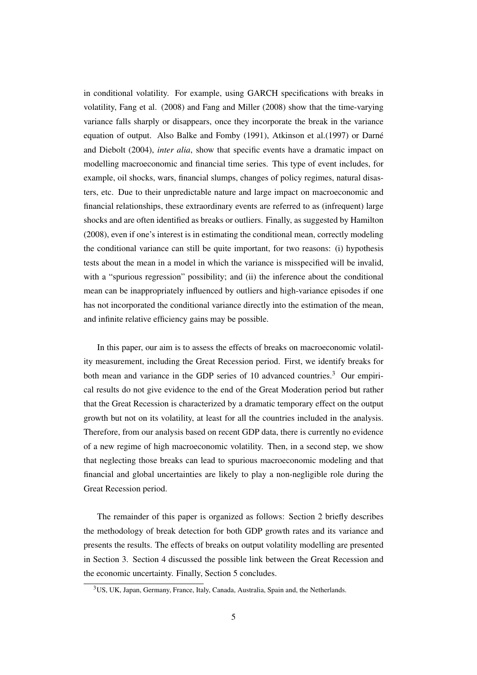in conditional volatility. For example, using GARCH specifications with breaks in volatility, Fang et al. (2008) and Fang and Miller (2008) show that the time-varying variance falls sharply or disappears, once they incorporate the break in the variance equation of output. Also Balke and Fomby (1991), Atkinson et al.(1997) or Darné and Diebolt (2004), *inter alia*, show that specific events have a dramatic impact on modelling macroeconomic and financial time series. This type of event includes, for example, oil shocks, wars, financial slumps, changes of policy regimes, natural disasters, etc. Due to their unpredictable nature and large impact on macroeconomic and financial relationships, these extraordinary events are referred to as (infrequent) large shocks and are often identified as breaks or outliers. Finally, as suggested by Hamilton (2008), even if one's interest is in estimating the conditional mean, correctly modeling the conditional variance can still be quite important, for two reasons: (i) hypothesis tests about the mean in a model in which the variance is misspecified will be invalid, with a "spurious regression" possibility; and (ii) the inference about the conditional mean can be inappropriately influenced by outliers and high-variance episodes if one has not incorporated the conditional variance directly into the estimation of the mean, and infinite relative efficiency gains may be possible.

In this paper, our aim is to assess the effects of breaks on macroeconomic volatility measurement, including the Great Recession period. First, we identify breaks for both mean and variance in the GDP series of 10 advanced countries.<sup>3</sup> Our empirical results do not give evidence to the end of the Great Moderation period but rather that the Great Recession is characterized by a dramatic temporary effect on the output growth but not on its volatility, at least for all the countries included in the analysis. Therefore, from our analysis based on recent GDP data, there is currently no evidence of a new regime of high macroeconomic volatility. Then, in a second step, we show that neglecting those breaks can lead to spurious macroeconomic modeling and that financial and global uncertainties are likely to play a non-negligible role during the Great Recession period.

The remainder of this paper is organized as follows: Section 2 briefly describes the methodology of break detection for both GDP growth rates and its variance and presents the results. The effects of breaks on output volatility modelling are presented in Section 3. Section 4 discussed the possible link between the Great Recession and the economic uncertainty. Finally, Section 5 concludes.

<sup>3</sup>US, UK, Japan, Germany, France, Italy, Canada, Australia, Spain and, the Netherlands.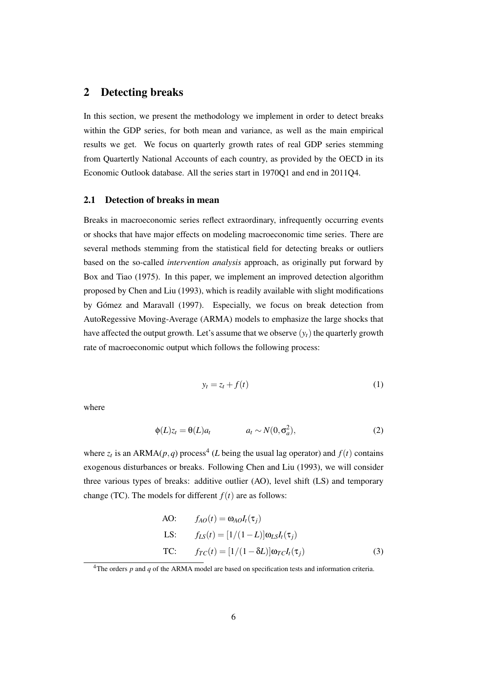## 2 Detecting breaks

In this section, we present the methodology we implement in order to detect breaks within the GDP series, for both mean and variance, as well as the main empirical results we get. We focus on quarterly growth rates of real GDP series stemming from Quartertly National Accounts of each country, as provided by the OECD in its Economic Outlook database. All the series start in 1970Q1 and end in 2011Q4.

#### 2.1 Detection of breaks in mean

Breaks in macroeconomic series reflect extraordinary, infrequently occurring events or shocks that have major effects on modeling macroeconomic time series. There are several methods stemming from the statistical field for detecting breaks or outliers based on the so-called *intervention analysis* approach, as originally put forward by Box and Tiao (1975). In this paper, we implement an improved detection algorithm proposed by Chen and Liu (1993), which is readily available with slight modifications by Gómez and Maravall (1997). Especially, we focus on break detection from AutoRegessive Moving-Average (ARMA) models to emphasize the large shocks that have affected the output growth. Let's assume that we observe  $(y_t)$  the quarterly growth rate of macroeconomic output which follows the following process:

$$
y_t = z_t + f(t) \tag{1}
$$

where

$$
\phi(L)z_t = \theta(L)a_t \qquad a_t \sim N(0, \sigma_a^2), \qquad (2)
$$

where  $z_t$  is an ARMA( $p$ , $q$ ) process<sup>4</sup> (*L* being the usual lag operator) and  $f(t)$  contains exogenous disturbances or breaks. Following Chen and Liu (1993), we will consider three various types of breaks: additive outlier (AO), level shift (LS) and temporary change (TC). The models for different  $f(t)$  are as follows:

A0: 
$$
f_{AO}(t) = \omega_{AO} I_t(\tau_j)
$$
  
\nLS:  $f_{LS}(t) = [1/(1-L)]\omega_{LS} I_t(\tau_j)$   
\nTC:  $f_{TC}(t) = [1/(1-\delta L)]\omega_{TC} I_t(\tau_j)$  (3)

<sup>&</sup>lt;sup>4</sup>The orders *p* and *q* of the ARMA model are based on specification tests and information criteria.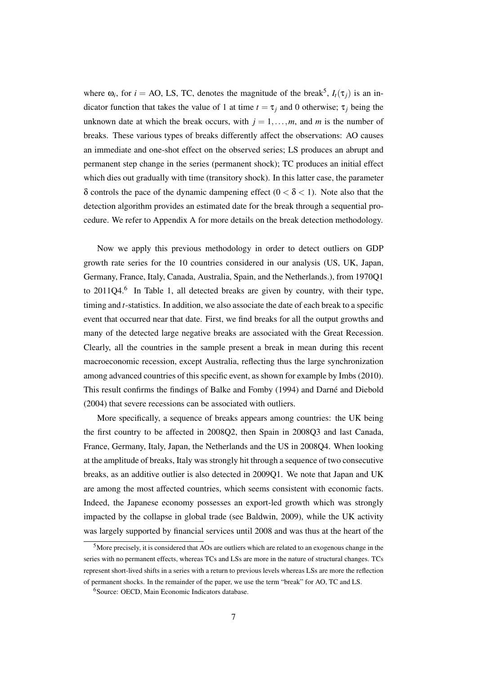where  $\omega_i$ , for  $i = AO$ , LS, TC, denotes the magnitude of the break<sup>5</sup>,  $I_t(\tau_j)$  is an indicator function that takes the value of 1 at time  $t = \tau_i$  and 0 otherwise;  $\tau_i$  being the unknown date at which the break occurs, with  $j = 1, \ldots, m$ , and *m* is the number of breaks. These various types of breaks differently affect the observations: AO causes an immediate and one-shot effect on the observed series; LS produces an abrupt and permanent step change in the series (permanent shock); TC produces an initial effect which dies out gradually with time (transitory shock). In this latter case, the parameter δ controls the pace of the dynamic dampening effect (0 *<* δ *<* 1). Note also that the detection algorithm provides an estimated date for the break through a sequential procedure. We refer to Appendix A for more details on the break detection methodology.

Now we apply this previous methodology in order to detect outliers on GDP growth rate series for the 10 countries considered in our analysis (US, UK, Japan, Germany, France, Italy, Canada, Australia, Spain, and the Netherlands.), from 1970Q1 to  $2011Q4$ .<sup>6</sup> In Table 1, all detected breaks are given by country, with their type, timing and *t*-statistics. In addition, we also associate the date of each break to a specific event that occurred near that date. First, we find breaks for all the output growths and many of the detected large negative breaks are associated with the Great Recession. Clearly, all the countries in the sample present a break in mean during this recent macroeconomic recession, except Australia, reflecting thus the large synchronization among advanced countries of this specific event, as shown for example by Imbs (2010). This result confirms the findings of Balke and Fomby (1994) and Darné and Diebold (2004) that severe recessions can be associated with outliers.

More specifically, a sequence of breaks appears among countries: the UK being the first country to be affected in 2008Q2, then Spain in 2008Q3 and last Canada, France, Germany, Italy, Japan, the Netherlands and the US in 2008Q4. When looking at the amplitude of breaks, Italy was strongly hit through a sequence of two consecutive breaks, as an additive outlier is also detected in 2009Q1. We note that Japan and UK are among the most affected countries, which seems consistent with economic facts. Indeed, the Japanese economy possesses an export-led growth which was strongly impacted by the collapse in global trade (see Baldwin, 2009), while the UK activity was largely supported by financial services until 2008 and was thus at the heart of the

<sup>5</sup>More precisely, it is considered that AOs are outliers which are related to an exogenous change in the series with no permanent effects, whereas TCs and LSs are more in the nature of structural changes. TCs represent short-lived shifts in a series with a return to previous levels whereas LSs are more the reflection of permanent shocks. In the remainder of the paper, we use the term "break" for AO, TC and LS.

<sup>6</sup>Source: OECD, Main Economic Indicators database.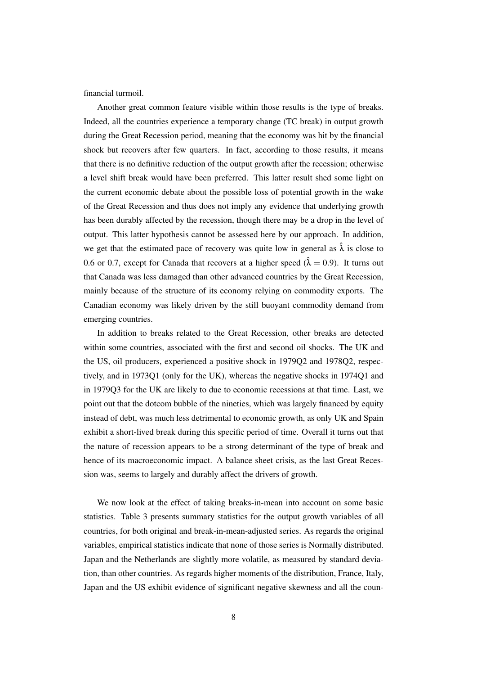financial turmoil.

Another great common feature visible within those results is the type of breaks. Indeed, all the countries experience a temporary change (TC break) in output growth during the Great Recession period, meaning that the economy was hit by the financial shock but recovers after few quarters. In fact, according to those results, it means that there is no definitive reduction of the output growth after the recession; otherwise a level shift break would have been preferred. This latter result shed some light on the current economic debate about the possible loss of potential growth in the wake of the Great Recession and thus does not imply any evidence that underlying growth has been durably affected by the recession, though there may be a drop in the level of output. This latter hypothesis cannot be assessed here by our approach. In addition, we get that the estimated pace of recovery was quite low in general as  $\hat{\lambda}$  is close to 0.6 or 0.7, except for Canada that recovers at a higher speed  $(\hat{\lambda} = 0.9)$ . It turns out that Canada was less damaged than other advanced countries by the Great Recession, mainly because of the structure of its economy relying on commodity exports. The Canadian economy was likely driven by the still buoyant commodity demand from emerging countries.

In addition to breaks related to the Great Recession, other breaks are detected within some countries, associated with the first and second oil shocks. The UK and the US, oil producers, experienced a positive shock in 1979Q2 and 1978Q2, respectively, and in 1973Q1 (only for the UK), whereas the negative shocks in 1974Q1 and in 1979Q3 for the UK are likely to due to economic recessions at that time. Last, we point out that the dotcom bubble of the nineties, which was largely financed by equity instead of debt, was much less detrimental to economic growth, as only UK and Spain exhibit a short-lived break during this specific period of time. Overall it turns out that the nature of recession appears to be a strong determinant of the type of break and hence of its macroeconomic impact. A balance sheet crisis, as the last Great Recession was, seems to largely and durably affect the drivers of growth.

We now look at the effect of taking breaks-in-mean into account on some basic statistics. Table 3 presents summary statistics for the output growth variables of all countries, for both original and break-in-mean-adjusted series. As regards the original variables, empirical statistics indicate that none of those series is Normally distributed. Japan and the Netherlands are slightly more volatile, as measured by standard deviation, than other countries. As regards higher moments of the distribution, France, Italy, Japan and the US exhibit evidence of significant negative skewness and all the coun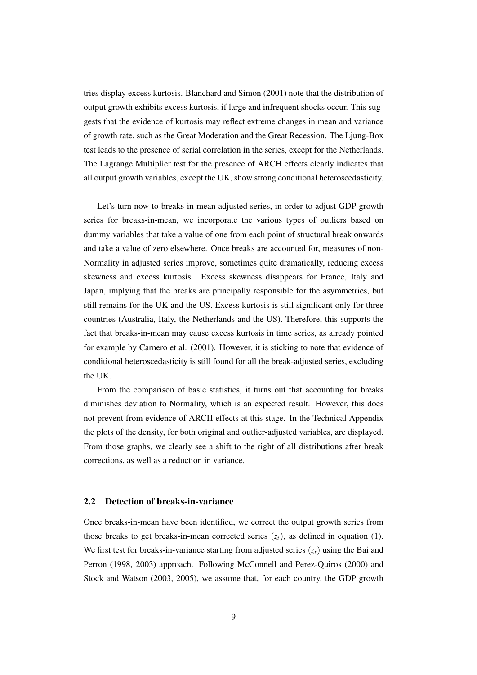tries display excess kurtosis. Blanchard and Simon (2001) note that the distribution of output growth exhibits excess kurtosis, if large and infrequent shocks occur. This suggests that the evidence of kurtosis may reflect extreme changes in mean and variance of growth rate, such as the Great Moderation and the Great Recession. The Ljung-Box test leads to the presence of serial correlation in the series, except for the Netherlands. The Lagrange Multiplier test for the presence of ARCH effects clearly indicates that all output growth variables, except the UK, show strong conditional heteroscedasticity.

Let's turn now to breaks-in-mean adjusted series, in order to adjust GDP growth series for breaks-in-mean, we incorporate the various types of outliers based on dummy variables that take a value of one from each point of structural break onwards and take a value of zero elsewhere. Once breaks are accounted for, measures of non-Normality in adjusted series improve, sometimes quite dramatically, reducing excess skewness and excess kurtosis. Excess skewness disappears for France, Italy and Japan, implying that the breaks are principally responsible for the asymmetries, but still remains for the UK and the US. Excess kurtosis is still significant only for three countries (Australia, Italy, the Netherlands and the US). Therefore, this supports the fact that breaks-in-mean may cause excess kurtosis in time series, as already pointed for example by Carnero et al. (2001). However, it is sticking to note that evidence of conditional heteroscedasticity is still found for all the break-adjusted series, excluding the UK.

From the comparison of basic statistics, it turns out that accounting for breaks diminishes deviation to Normality, which is an expected result. However, this does not prevent from evidence of ARCH effects at this stage. In the Technical Appendix the plots of the density, for both original and outlier-adjusted variables, are displayed. From those graphs, we clearly see a shift to the right of all distributions after break corrections, as well as a reduction in variance.

#### 2.2 Detection of breaks-in-variance

Once breaks-in-mean have been identified, we correct the output growth series from those breaks to get breaks-in-mean corrected series  $(z_t)$ , as defined in equation (1). We first test for breaks-in-variance starting from adjusted series  $(z_t)$  using the Bai and Perron (1998, 2003) approach. Following McConnell and Perez-Quiros (2000) and Stock and Watson (2003, 2005), we assume that, for each country, the GDP growth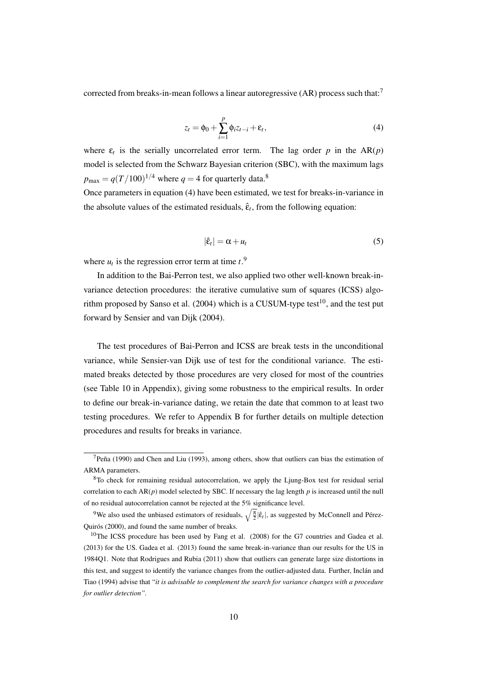corrected from breaks-in-mean follows a linear autoregressive (AR) process such that:<sup>7</sup>

$$
z_t = \phi_0 + \sum_{i=1}^p \phi_i z_{t-i} + \varepsilon_t, \tag{4}
$$

where  $\varepsilon_t$  is the serially uncorrelated error term. The lag order *p* in the AR(*p*) model is selected from the Schwarz Bayesian criterion (SBC), with the maximum lags  $p_{\text{max}} = q(T/100)^{1/4}$  where  $q = 4$  for quarterly data.<sup>8</sup>

Once parameters in equation (4) have been estimated, we test for breaks-in-variance in the absolute values of the estimated residuals,  $\hat{\epsilon}_t$ , from the following equation:

$$
|\hat{\varepsilon}_t| = \alpha + u_t \tag{5}
$$

where  $u_t$  is the regression error term at time  $t$ <sup>9</sup>.

In addition to the Bai-Perron test, we also applied two other well-known break-invariance detection procedures: the iterative cumulative sum of squares (ICSS) algorithm proposed by Sanso et al. (2004) which is a CUSUM-type test<sup>10</sup>, and the test put forward by Sensier and van Dijk (2004).

The test procedures of Bai-Perron and ICSS are break tests in the unconditional variance, while Sensier-van Dijk use of test for the conditional variance. The estimated breaks detected by those procedures are very closed for most of the countries (see Table 10 in Appendix), giving some robustness to the empirical results. In order to define our break-in-variance dating, we retain the date that common to at least two testing procedures. We refer to Appendix B for further details on multiple detection procedures and results for breaks in variance.

 $<sup>7</sup>$ Peña (1990) and Chen and Liu (1993), among others, show that outliers can bias the estimation of</sup> ARMA parameters.

<sup>&</sup>lt;sup>8</sup>To check for remaining residual autocorrelation, we apply the Ljung-Box test for residual serial correlation to each  $AR(p)$  model selected by SBC. If necessary the lag length  $p$  is increased until the null of no residual autocorrelation cannot be rejected at the 5% significance level.

<sup>&</sup>lt;sup>9</sup>We also used the unbiased estimators of residuals,  $\sqrt{\frac{\pi}{2}}|\hat{\epsilon}_t|$ , as suggested by McConnell and Pérez-Quirós (2000), and found the same number of breaks.

<sup>&</sup>lt;sup>10</sup>The ICSS procedure has been used by Fang et al.  $(2008)$  for the G7 countries and Gadea et al. (2013) for the US. Gadea et al. (2013) found the same break-in-variance than our results for the US in 1984Q1. Note that Rodrigues and Rubia (2011) show that outliers can generate large size distortions in this test, and suggest to identify the variance changes from the outlier-adjusted data. Further, Inclán and Tiao (1994) advise that "*it is advisable to complement the search for variance changes with a procedure for outlier detection".*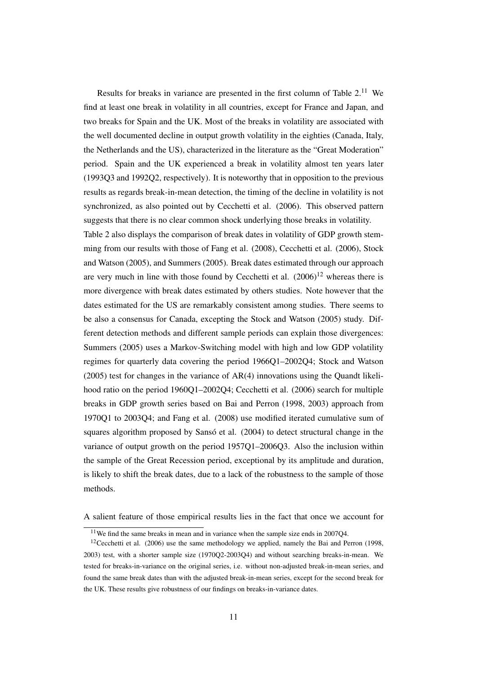Results for breaks in variance are presented in the first column of Table  $2<sup>11</sup>$  We find at least one break in volatility in all countries, except for France and Japan, and two breaks for Spain and the UK. Most of the breaks in volatility are associated with the well documented decline in output growth volatility in the eighties (Canada, Italy, the Netherlands and the US), characterized in the literature as the "Great Moderation" period. Spain and the UK experienced a break in volatility almost ten years later (1993Q3 and 1992Q2, respectively). It is noteworthy that in opposition to the previous results as regards break-in-mean detection, the timing of the decline in volatility is not synchronized, as also pointed out by Cecchetti et al. (2006). This observed pattern suggests that there is no clear common shock underlying those breaks in volatility.

Table 2 also displays the comparison of break dates in volatility of GDP growth stemming from our results with those of Fang et al. (2008), Cecchetti et al. (2006), Stock and Watson (2005), and Summers (2005). Break dates estimated through our approach are very much in line with those found by Cecchetti et al.  $(2006)^{12}$  whereas there is more divergence with break dates estimated by others studies. Note however that the dates estimated for the US are remarkably consistent among studies. There seems to be also a consensus for Canada, excepting the Stock and Watson (2005) study. Different detection methods and different sample periods can explain those divergences: Summers (2005) uses a Markov-Switching model with high and low GDP volatility regimes for quarterly data covering the period 1966Q1–2002Q4; Stock and Watson (2005) test for changes in the variance of AR(4) innovations using the Quandt likelihood ratio on the period 1960Q1–2002Q4; Cecchetti et al. (2006) search for multiple breaks in GDP growth series based on Bai and Perron (1998, 2003) approach from 1970Q1 to 2003Q4; and Fang et al. (2008) use modified iterated cumulative sum of squares algorithm proposed by Sansó et al. (2004) to detect structural change in the variance of output growth on the period 1957Q1–2006Q3. Also the inclusion within the sample of the Great Recession period, exceptional by its amplitude and duration, is likely to shift the break dates, due to a lack of the robustness to the sample of those methods.

A salient feature of those empirical results lies in the fact that once we account for

 $11$ We find the same breaks in mean and in variance when the sample size ends in 2007Q4.

<sup>&</sup>lt;sup>12</sup>Cecchetti et al.  $(2006)$  use the same methodology we applied, namely the Bai and Perron (1998, 2003) test, with a shorter sample size (1970Q2-2003Q4) and without searching breaks-in-mean. We tested for breaks-in-variance on the original series, i.e. without non-adjusted break-in-mean series, and found the same break dates than with the adjusted break-in-mean series, except for the second break for the UK. These results give robustness of our findings on breaks-in-variance dates.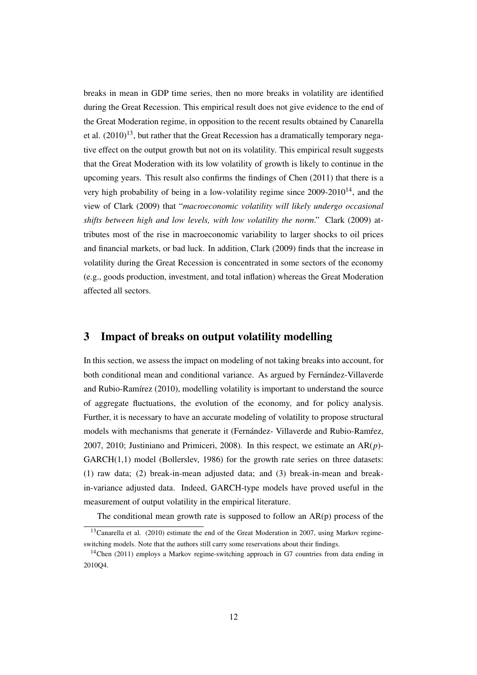breaks in mean in GDP time series, then no more breaks in volatility are identified during the Great Recession. This empirical result does not give evidence to the end of the Great Moderation regime, in opposition to the recent results obtained by Canarella et al.  $(2010)^{13}$ , but rather that the Great Recession has a dramatically temporary negative effect on the output growth but not on its volatility. This empirical result suggests that the Great Moderation with its low volatility of growth is likely to continue in the upcoming years. This result also confirms the findings of Chen (2011) that there is a very high probability of being in a low-volatility regime since  $2009-2010^{14}$ , and the view of Clark (2009) that "*macroeconomic volatility will likely undergo occasional shifts between high and low levels, with low volatility the norm*." Clark (2009) attributes most of the rise in macroeconomic variability to larger shocks to oil prices and financial markets, or bad luck. In addition, Clark (2009) finds that the increase in volatility during the Great Recession is concentrated in some sectors of the economy (e.g., goods production, investment, and total inflation) whereas the Great Moderation affected all sectors.

# 3 Impact of breaks on output volatility modelling

In this section, we assess the impact on modeling of not taking breaks into account, for both conditional mean and conditional variance. As argued by Fernández-Villaverde and Rubio-Ramírez (2010), modelling volatility is important to understand the source of aggregate fluctuations, the evolution of the economy, and for policy analysis. Further, it is necessary to have an accurate modeling of volatility to propose structural models with mechanisms that generate it (Fernández- Villaverde and Rubio-Ramíez, 2007, 2010; Justiniano and Primiceri, 2008). In this respect, we estimate an AR(*p*)-  $GARCH(1,1)$  model (Bollerslev, 1986) for the growth rate series on three datasets: (1) raw data; (2) break-in-mean adjusted data; and (3) break-in-mean and breakin-variance adjusted data. Indeed, GARCH-type models have proved useful in the measurement of output volatility in the empirical literature.

The conditional mean growth rate is supposed to follow an  $AR(p)$  process of the

 $13$ Canarella et al. (2010) estimate the end of the Great Moderation in 2007, using Markov regimeswitching models. Note that the authors still carry some reservations about their findings.

<sup>&</sup>lt;sup>14</sup>Chen (2011) employs a Markov regime-switching approach in G7 countries from data ending in 2010Q4.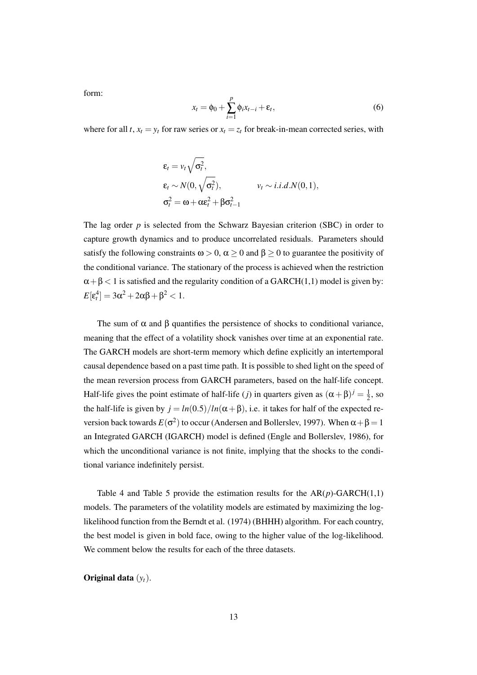form:

$$
x_t = \phi_0 + \sum_{i=1}^p \phi_i x_{t-i} + \varepsilon_t, \qquad (6)
$$

where for all *t*,  $x_t = y_t$  for raw series or  $x_t = z_t$  for break-in-mean corrected series, with

$$
\varepsilon_t = v_t \sqrt{\sigma_t^2},
$$
  
\n
$$
\varepsilon_t \sim N(0, \sqrt{\sigma_t^2}), \qquad v_t \sim i.i.d.N(0,1),
$$
  
\n
$$
\sigma_t^2 = \omega + \alpha \varepsilon_t^2 + \beta \sigma_{t-1}^2
$$

The lag order *p* is selected from the Schwarz Bayesian criterion (SBC) in order to capture growth dynamics and to produce uncorrelated residuals. Parameters should satisfy the following constraints  $\omega > 0$ ,  $\alpha \ge 0$  and  $\beta \ge 0$  to guarantee the positivity of the conditional variance. The stationary of the process is achieved when the restriction  $\alpha + \beta < 1$  is satisfied and the regularity condition of a GARCH(1,1) model is given by:  $E[\varepsilon_t^4] = 3\alpha^2 + 2\alpha\beta + \beta^2 < 1.$ 

The sum of  $\alpha$  and  $\beta$  quantifies the persistence of shocks to conditional variance, meaning that the effect of a volatility shock vanishes over time at an exponential rate. The GARCH models are short-term memory which define explicitly an intertemporal causal dependence based on a past time path. It is possible to shed light on the speed of the mean reversion process from GARCH parameters, based on the half-life concept. Half-life gives the point estimate of half-life (*j*) in quarters given as  $(\alpha + \beta)^j = \frac{1}{2}$  $\frac{1}{2}$ , so the half-life is given by  $j = ln(0.5)/ln(\alpha + \beta)$ , i.e. it takes for half of the expected reversion back towards  $E(\sigma^2)$  to occur (Andersen and Bollerslev, 1997). When  $\alpha + \beta = 1$ an Integrated GARCH (IGARCH) model is defined (Engle and Bollerslev, 1986), for which the unconditional variance is not finite, implying that the shocks to the conditional variance indefinitely persist.

Table 4 and Table 5 provide the estimation results for the  $AR(p)$ -GARCH $(1,1)$ models. The parameters of the volatility models are estimated by maximizing the loglikelihood function from the Berndt et al. (1974) (BHHH) algorithm. For each country, the best model is given in bold face, owing to the higher value of the log-likelihood. We comment below the results for each of the three datasets.

Original data (*yt*).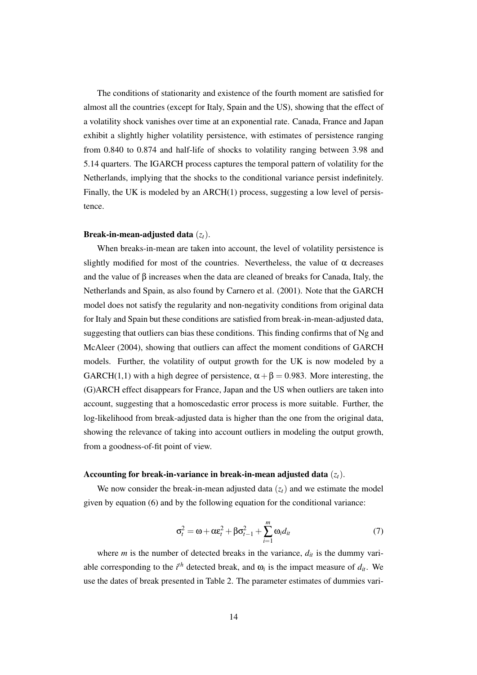The conditions of stationarity and existence of the fourth moment are satisfied for almost all the countries (except for Italy, Spain and the US), showing that the effect of a volatility shock vanishes over time at an exponential rate. Canada, France and Japan exhibit a slightly higher volatility persistence, with estimates of persistence ranging from 0.840 to 0.874 and half-life of shocks to volatility ranging between 3.98 and 5.14 quarters. The IGARCH process captures the temporal pattern of volatility for the Netherlands, implying that the shocks to the conditional variance persist indefinitely. Finally, the UK is modeled by an ARCH(1) process, suggesting a low level of persistence.

#### Break-in-mean-adjusted data (*zt*).

When breaks-in-mean are taken into account, the level of volatility persistence is slightly modified for most of the countries. Nevertheless, the value of  $\alpha$  decreases and the value of β increases when the data are cleaned of breaks for Canada, Italy, the Netherlands and Spain, as also found by Carnero et al. (2001). Note that the GARCH model does not satisfy the regularity and non-negativity conditions from original data for Italy and Spain but these conditions are satisfied from break-in-mean-adjusted data, suggesting that outliers can bias these conditions. This finding confirms that of Ng and McAleer (2004), showing that outliers can affect the moment conditions of GARCH models. Further, the volatility of output growth for the UK is now modeled by a GARCH(1,1) with a high degree of persistence,  $\alpha + \beta = 0.983$ . More interesting, the (G)ARCH effect disappears for France, Japan and the US when outliers are taken into account, suggesting that a homoscedastic error process is more suitable. Further, the log-likelihood from break-adjusted data is higher than the one from the original data, showing the relevance of taking into account outliers in modeling the output growth, from a goodness-of-fit point of view.

#### Accounting for break-in-variance in break-in-mean adjusted data  $(z_t)$ .

We now consider the break-in-mean adjusted data  $(z_t)$  and we estimate the model given by equation (6) and by the following equation for the conditional variance:

$$
\sigma_t^2 = \omega + \alpha \varepsilon_t^2 + \beta \sigma_{t-1}^2 + \sum_{i=1}^m \omega_i d_{it}
$$
 (7)

where *m* is the number of detected breaks in the variance,  $d_{it}$  is the dummy variable corresponding to the  $i^{th}$  detected break, and  $\omega_i$  is the impact measure of  $d_{it}$ . We use the dates of break presented in Table 2. The parameter estimates of dummies vari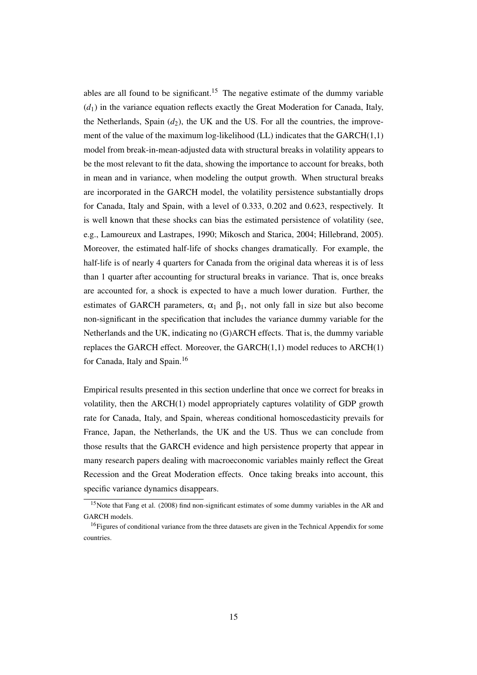ables are all found to be significant.<sup>15</sup> The negative estimate of the dummy variable  $(d_1)$  in the variance equation reflects exactly the Great Moderation for Canada, Italy, the Netherlands, Spain  $(d_2)$ , the UK and the US. For all the countries, the improvement of the value of the maximum log-likelihood  $(LL)$  indicates that the GARCH $(1,1)$ model from break-in-mean-adjusted data with structural breaks in volatility appears to be the most relevant to fit the data, showing the importance to account for breaks, both in mean and in variance, when modeling the output growth. When structural breaks are incorporated in the GARCH model, the volatility persistence substantially drops for Canada, Italy and Spain, with a level of 0.333, 0.202 and 0.623, respectively. It is well known that these shocks can bias the estimated persistence of volatility (see, e.g., Lamoureux and Lastrapes, 1990; Mikosch and Starica, 2004; Hillebrand, 2005). Moreover, the estimated half-life of shocks changes dramatically. For example, the half-life is of nearly 4 quarters for Canada from the original data whereas it is of less than 1 quarter after accounting for structural breaks in variance. That is, once breaks are accounted for, a shock is expected to have a much lower duration. Further, the estimates of GARCH parameters,  $\alpha_1$  and  $\beta_1$ , not only fall in size but also become non-significant in the specification that includes the variance dummy variable for the Netherlands and the UK, indicating no (G)ARCH effects. That is, the dummy variable replaces the GARCH effect. Moreover, the GARCH $(1,1)$  model reduces to ARCH $(1)$ for Canada, Italy and Spain.<sup>16</sup>

Empirical results presented in this section underline that once we correct for breaks in volatility, then the ARCH(1) model appropriately captures volatility of GDP growth rate for Canada, Italy, and Spain, whereas conditional homoscedasticity prevails for France, Japan, the Netherlands, the UK and the US. Thus we can conclude from those results that the GARCH evidence and high persistence property that appear in many research papers dealing with macroeconomic variables mainly reflect the Great Recession and the Great Moderation effects. Once taking breaks into account, this specific variance dynamics disappears.

<sup>&</sup>lt;sup>15</sup>Note that Fang et al. (2008) find non-significant estimates of some dummy variables in the AR and GARCH models.

<sup>&</sup>lt;sup>16</sup>Figures of conditional variance from the three datasets are given in the Technical Appendix for some countries.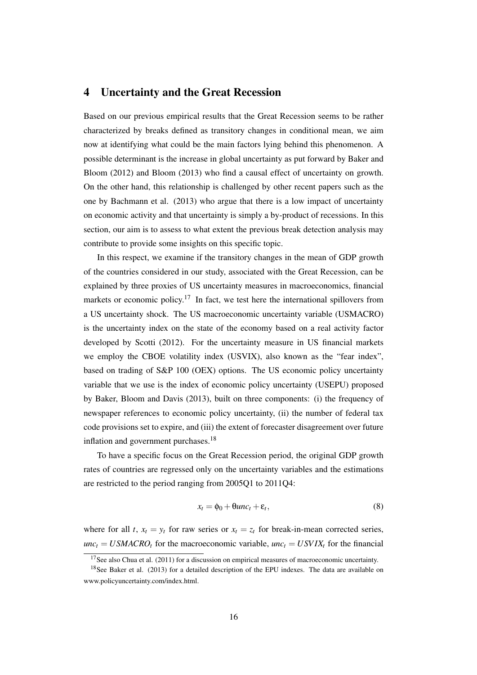## 4 Uncertainty and the Great Recession

Based on our previous empirical results that the Great Recession seems to be rather characterized by breaks defined as transitory changes in conditional mean, we aim now at identifying what could be the main factors lying behind this phenomenon. A possible determinant is the increase in global uncertainty as put forward by Baker and Bloom (2012) and Bloom (2013) who find a causal effect of uncertainty on growth. On the other hand, this relationship is challenged by other recent papers such as the one by Bachmann et al. (2013) who argue that there is a low impact of uncertainty on economic activity and that uncertainty is simply a by-product of recessions. In this section, our aim is to assess to what extent the previous break detection analysis may contribute to provide some insights on this specific topic.

In this respect, we examine if the transitory changes in the mean of GDP growth of the countries considered in our study, associated with the Great Recession, can be explained by three proxies of US uncertainty measures in macroeconomics, financial markets or economic policy.<sup>17</sup> In fact, we test here the international spillovers from a US uncertainty shock. The US macroeconomic uncertainty variable (USMACRO) is the uncertainty index on the state of the economy based on a real activity factor developed by Scotti (2012). For the uncertainty measure in US financial markets we employ the CBOE volatility index (USVIX), also known as the "fear index", based on trading of S&P 100 (OEX) options. The US economic policy uncertainty variable that we use is the index of economic policy uncertainty (USEPU) proposed by Baker, Bloom and Davis (2013), built on three components: (i) the frequency of newspaper references to economic policy uncertainty, (ii) the number of federal tax code provisions set to expire, and (iii) the extent of forecaster disagreement over future inflation and government purchases.<sup>18</sup>

To have a specific focus on the Great Recession period, the original GDP growth rates of countries are regressed only on the uncertainty variables and the estimations are restricted to the period ranging from 2005Q1 to 2011Q4:

$$
x_t = \phi_0 + \theta u n c_t + \varepsilon_t, \tag{8}
$$

where for all *t*,  $x_t = y_t$  for raw series or  $x_t = z_t$  for break-in-mean corrected series,  $unc<sub>t</sub> = USMACRO<sub>t</sub>$  for the macroeconomic variable,  $unc<sub>t</sub> = USVIX<sub>t</sub>$  for the financial

<sup>&</sup>lt;sup>17</sup>See also Chua et al. (2011) for a discussion on empirical measures of macroeconomic uncertainty.

<sup>&</sup>lt;sup>18</sup>See Baker et al. (2013) for a detailed description of the EPU indexes. The data are available on www.policyuncertainty.com/index.html.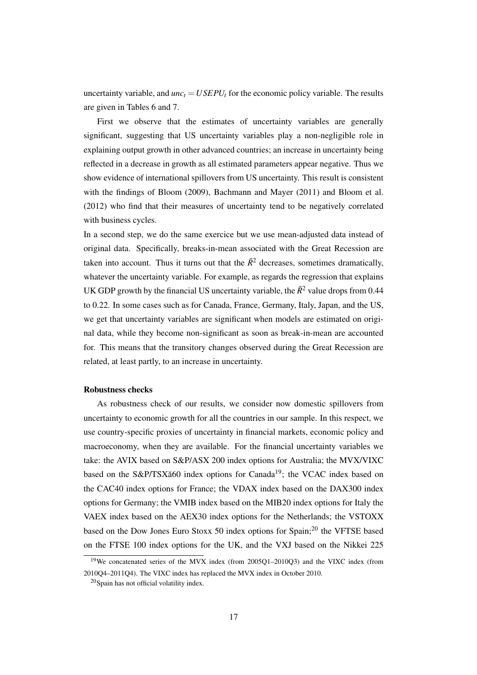uncertainty variable, and  $unc<sub>t</sub> = USEPU<sub>t</sub>$  for the economic policy variable. The results are given in Tables 6 and 7.

First we observe that the estimates of uncertainty variables are generally significant, suggesting that US uncertainty variables play a non-negligible role in explaining output growth in other advanced countries; an increase in uncertainty being reflected in a decrease in growth as all estimated parameters appear negative. Thus we show evidence of international spillovers from US uncertainty. This result is consistent with the findings of Bloom (2009), Bachmann and Mayer (2011) and Bloom et al. (2012) who find that their measures of uncertainty tend to be negatively correlated with business cycles.

In a second step, we do the same exercice but we use mean-adjusted data instead of original data. Specifically, breaks-in-mean associated with the Great Recession are taken into account. Thus it turns out that the  $\bar{R}^2$  decreases, sometimes dramatically, whatever the uncertainty variable. For example, as regards the regression that explains UK GDP growth by the financial US uncertainty variable, the  $\bar{R}^2$  value drops from 0.44 to 0.22. In some cases such as for Canada, France, Germany, Italy, Japan, and the US, we get that uncertainty variables are significant when models are estimated on original data, while they become non-significant as soon as break-in-mean are accounted for. This means that the transitory changes observed during the Great Recession are related, at least partly, to an increase in uncertainty.

#### Robustness checks

As robustness check of our results, we consider now domestic spillovers from uncertainty to economic growth for all the countries in our sample. In this respect, we use country-specific proxies of uncertainty in financial markets, economic policy and macroeconomy, when they are available. For the financial uncertainty variables we take: the AVIX based on S&P/ASX 200 index options for Australia; the MVX/VIXC based on the S&P/TSXă60 index options for Canada<sup>19</sup>; the VCAC index based on the CAC40 index options for France; the VDAX index based on the DAX300 index options for Germany; the VMIB index based on the MIB20 index options for Italy the VAEX index based on the AEX30 index options for the Netherlands; the VSTOXX based on the Dow Jones Euro Stoxx 50 index options for Spain;<sup>20</sup> the VFTSE based on the FTSE 100 index options for the UK, and the VXJ based on the Nikkei 225

<sup>19</sup>We concatenated series of the MVX index (from 2005Q1–2010Q3) and the VIXC index (from 2010Q4–2011Q4). The VIXC index has replaced the MVX index in October 2010.

<sup>20</sup>Spain has not official volatility index.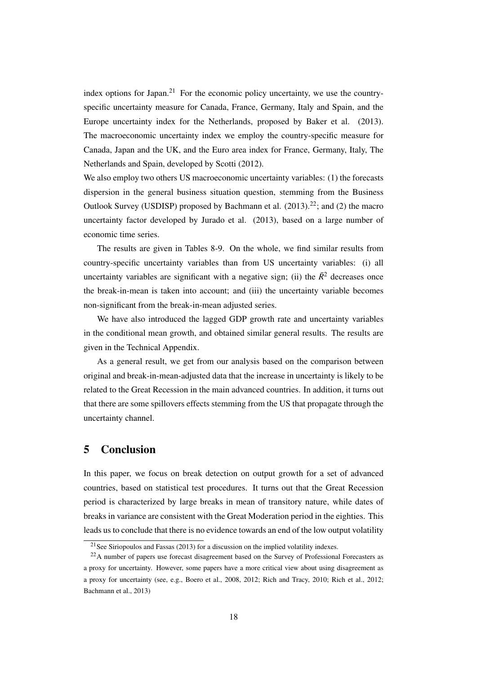index options for Japan.<sup>21</sup> For the economic policy uncertainty, we use the countryspecific uncertainty measure for Canada, France, Germany, Italy and Spain, and the Europe uncertainty index for the Netherlands, proposed by Baker et al. (2013). The macroeconomic uncertainty index we employ the country-specific measure for Canada, Japan and the UK, and the Euro area index for France, Germany, Italy, The Netherlands and Spain, developed by Scotti (2012).

We also employ two others US macroeconomic uncertainty variables: (1) the forecasts dispersion in the general business situation question, stemming from the Business Outlook Survey (USDISP) proposed by Bachmann et al.  $(2013).^{22}$ ; and  $(2)$  the macro uncertainty factor developed by Jurado et al. (2013), based on a large number of economic time series.

The results are given in Tables 8-9. On the whole, we find similar results from country-specific uncertainty variables than from US uncertainty variables: (i) all uncertainty variables are significant with a negative sign; (ii) the  $\bar{R}^2$  decreases once the break-in-mean is taken into account; and (iii) the uncertainty variable becomes non-significant from the break-in-mean adjusted series.

We have also introduced the lagged GDP growth rate and uncertainty variables in the conditional mean growth, and obtained similar general results. The results are given in the Technical Appendix.

As a general result, we get from our analysis based on the comparison between original and break-in-mean-adjusted data that the increase in uncertainty is likely to be related to the Great Recession in the main advanced countries. In addition, it turns out that there are some spillovers effects stemming from the US that propagate through the uncertainty channel.

# 5 Conclusion

In this paper, we focus on break detection on output growth for a set of advanced countries, based on statistical test procedures. It turns out that the Great Recession period is characterized by large breaks in mean of transitory nature, while dates of breaks in variance are consistent with the Great Moderation period in the eighties. This leads us to conclude that there is no evidence towards an end of the low output volatility

<sup>&</sup>lt;sup>21</sup>See Siriopoulos and Fassas (2013) for a discussion on the implied volatility indexes.

<sup>&</sup>lt;sup>22</sup>A number of papers use forecast disagreement based on the Survey of Professional Forecasters as a proxy for uncertainty. However, some papers have a more critical view about using disagreement as a proxy for uncertainty (see, e.g., Boero et al., 2008, 2012; Rich and Tracy, 2010; Rich et al., 2012; Bachmann et al., 2013)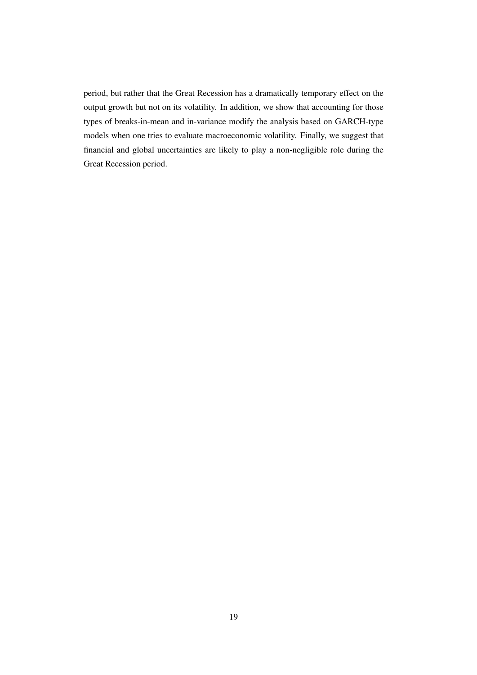period, but rather that the Great Recession has a dramatically temporary effect on the output growth but not on its volatility. In addition, we show that accounting for those types of breaks-in-mean and in-variance modify the analysis based on GARCH-type models when one tries to evaluate macroeconomic volatility. Finally, we suggest that financial and global uncertainties are likely to play a non-negligible role during the Great Recession period.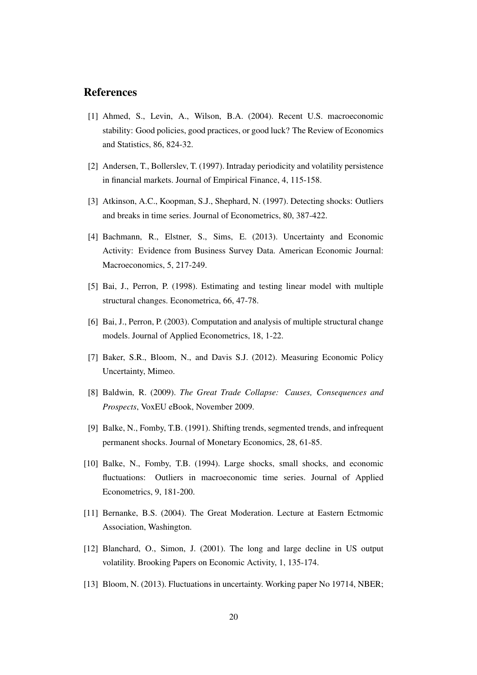# References

- [1] Ahmed, S., Levin, A., Wilson, B.A. (2004). Recent U.S. macroeconomic stability: Good policies, good practices, or good luck? The Review of Economics and Statistics, 86, 824-32.
- [2] Andersen, T., Bollerslev, T. (1997). Intraday periodicity and volatility persistence in financial markets. Journal of Empirical Finance, 4, 115-158.
- [3] Atkinson, A.C., Koopman, S.J., Shephard, N. (1997). Detecting shocks: Outliers and breaks in time series. Journal of Econometrics, 80, 387-422.
- [4] Bachmann, R., Elstner, S., Sims, E. (2013). Uncertainty and Economic Activity: Evidence from Business Survey Data. American Economic Journal: Macroeconomics, 5, 217-249.
- [5] Bai, J., Perron, P. (1998). Estimating and testing linear model with multiple structural changes. Econometrica, 66, 47-78.
- [6] Bai, J., Perron, P. (2003). Computation and analysis of multiple structural change models. Journal of Applied Econometrics, 18, 1-22.
- [7] Baker, S.R., Bloom, N., and Davis S.J. (2012). Measuring Economic Policy Uncertainty, Mimeo.
- [8] Baldwin, R. (2009). *The Great Trade Collapse: Causes, Consequences and Prospects*, VoxEU eBook, November 2009.
- [9] Balke, N., Fomby, T.B. (1991). Shifting trends, segmented trends, and infrequent permanent shocks. Journal of Monetary Economics, 28, 61-85.
- [10] Balke, N., Fomby, T.B. (1994). Large shocks, small shocks, and economic fluctuations: Outliers in macroeconomic time series. Journal of Applied Econometrics, 9, 181-200.
- [11] Bernanke, B.S. (2004). The Great Moderation. Lecture at Eastern Ectmomic Association, Washington.
- [12] Blanchard, O., Simon, J. (2001). The long and large decline in US output volatility. Brooking Papers on Economic Activity, 1, 135-174.
- [13] Bloom, N. (2013). Fluctuations in uncertainty. Working paper No 19714, NBER;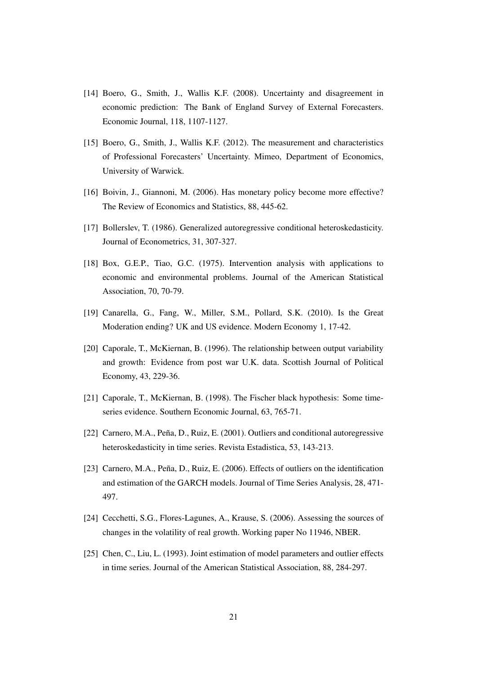- [14] Boero, G., Smith, J., Wallis K.F. (2008). Uncertainty and disagreement in economic prediction: The Bank of England Survey of External Forecasters. Economic Journal, 118, 1107-1127.
- [15] Boero, G., Smith, J., Wallis K.F. (2012). The measurement and characteristics of Professional Forecasters' Uncertainty. Mimeo, Department of Economics, University of Warwick.
- [16] Boivin, J., Giannoni, M. (2006). Has monetary policy become more effective? The Review of Economics and Statistics, 88, 445-62.
- [17] Bollerslev, T. (1986). Generalized autoregressive conditional heteroskedasticity. Journal of Econometrics, 31, 307-327.
- [18] Box, G.E.P., Tiao, G.C. (1975). Intervention analysis with applications to economic and environmental problems. Journal of the American Statistical Association, 70, 70-79.
- [19] Canarella, G., Fang, W., Miller, S.M., Pollard, S.K. (2010). Is the Great Moderation ending? UK and US evidence. Modern Economy 1, 17-42.
- [20] Caporale, T., McKiernan, B. (1996). The relationship between output variability and growth: Evidence from post war U.K. data. Scottish Journal of Political Economy, 43, 229-36.
- [21] Caporale, T., McKiernan, B. (1998). The Fischer black hypothesis: Some timeseries evidence. Southern Economic Journal, 63, 765-71.
- [22] Carnero, M.A., Peña, D., Ruiz, E. (2001). Outliers and conditional autoregressive heteroskedasticity in time series. Revista Estadistica, 53, 143-213.
- [23] Carnero, M.A., Peña, D., Ruiz, E. (2006). Effects of outliers on the identification and estimation of the GARCH models. Journal of Time Series Analysis, 28, 471- 497.
- [24] Cecchetti, S.G., Flores-Lagunes, A., Krause, S. (2006). Assessing the sources of changes in the volatility of real growth. Working paper No 11946, NBER.
- [25] Chen, C., Liu, L. (1993). Joint estimation of model parameters and outlier effects in time series. Journal of the American Statistical Association, 88, 284-297.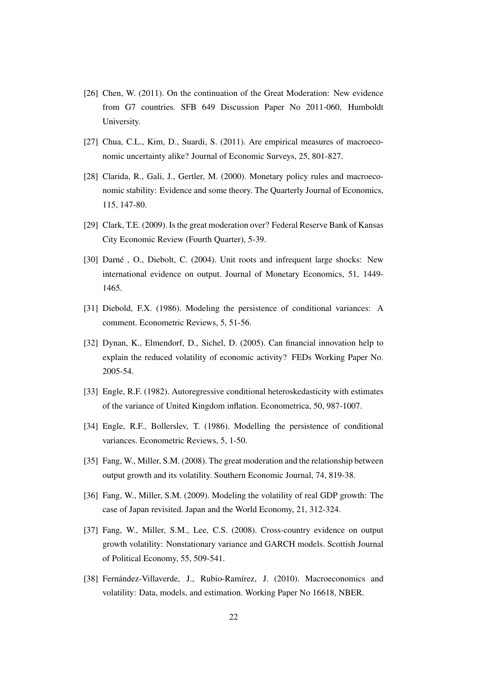- [26] Chen, W. (2011). On the continuation of the Great Moderation: New evidence from G7 countries. SFB 649 Discussion Paper No 2011-060, Humboldt University.
- [27] Chua, C.L., Kim, D., Suardi, S. (2011). Are empirical measures of macroeconomic uncertainty alike? Journal of Economic Surveys, 25, 801-827.
- [28] Clarida, R., Gali, J., Gertler, M. (2000). Monetary policy rules and macroeconomic stability: Evidence and some theory. The Quarterly Journal of Economics, 115, 147-80.
- [29] Clark, T.E. (2009). Is the great moderation over? Federal Reserve Bank of Kansas City Economic Review (Fourth Quarter), 5-39.
- [30] Darné , O., Diebolt, C. (2004). Unit roots and infrequent large shocks: New international evidence on output. Journal of Monetary Economics, 51, 1449- 1465.
- [31] Diebold, F.X. (1986). Modeling the persistence of conditional variances: A comment. Econometric Reviews, 5, 51-56.
- [32] Dynan, K., Elmendorf, D., Sichel, D. (2005). Can financial innovation help to explain the reduced volatility of economic activity? FEDs Working Paper No. 2005-54.
- [33] Engle, R.F. (1982). Autoregressive conditional heteroskedasticity with estimates of the variance of United Kingdom inflation. Econometrica, 50, 987-1007.
- [34] Engle, R.F., Bollerslev, T. (1986). Modelling the persistence of conditional variances. Econometric Reviews, 5, 1-50.
- [35] Fang, W., Miller, S.M. (2008). The great moderation and the relationship between output growth and its volatility. Southern Economic Journal, 74, 819-38.
- [36] Fang, W., Miller, S.M. (2009). Modeling the volatility of real GDP growth: The case of Japan revisited. Japan and the World Economy, 21, 312-324.
- [37] Fang, W., Miller, S.M., Lee, C.S. (2008). Cross-country evidence on output growth volatility: Nonstationary variance and GARCH models. Scottish Journal of Political Economy, 55, 509-541.
- [38] Fernández-Villaverde, J., Rubio-Ramírez, J. (2010). Macroeconomics and volatility: Data, models, and estimation. Working Paper No 16618, NBER.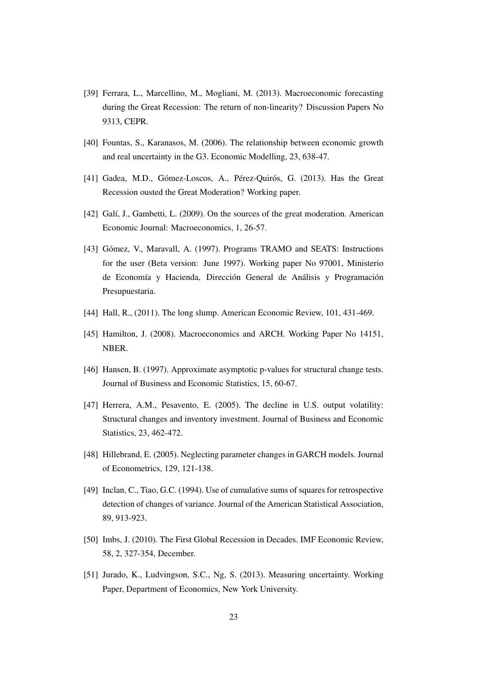- [39] Ferrara, L., Marcellino, M., Mogliani, M. (2013). Macroeconomic forecasting during the Great Recession: The return of non-linearity? Discussion Papers No 9313, CEPR.
- [40] Fountas, S., Karanasos, M. (2006). The relationship between economic growth and real uncertainty in the G3. Economic Modelling, 23, 638-47.
- [41] Gadea, M.D., Gómez-Loscos, A., Pérez-Quirós, G. (2013). Has the Great Recession ousted the Great Moderation? Working paper.
- [42] Galí, J., Gambetti, L. (2009). On the sources of the great moderation. American Economic Journal: Macroeconomics, 1, 26-57.
- [43] Gómez, V., Maravall, A. (1997). Programs TRAMO and SEATS: Instructions for the user (Beta version: June 1997). Working paper No 97001, Ministerio de Economía y Hacienda, Dirección General de Análisis y Programación Presupuestaria.
- [44] Hall, R., (2011). The long slump. American Economic Review, 101, 431-469.
- [45] Hamilton, J. (2008). Macroeconomics and ARCH. Working Paper No 14151, NBER.
- [46] Hansen, B. (1997). Approximate asymptotic p-values for structural change tests. Journal of Business and Economic Statistics, 15, 60-67.
- [47] Herrera, A.M., Pesavento, E. (2005). The decline in U.S. output volatility: Structural changes and inventory investment. Journal of Business and Economic Statistics, 23, 462-472.
- [48] Hillebrand, E. (2005). Neglecting parameter changes in GARCH models. Journal of Econometrics, 129, 121-138.
- [49] Inclan, C., Tiao, G.C. (1994). Use of cumulative sums of squares for retrospective detection of changes of variance. Journal of the American Statistical Association, 89, 913-923.
- [50] Imbs, J. (2010). The First Global Recession in Decades. IMF Economic Review, 58, 2, 327-354, December.
- [51] Jurado, K., Ludvingson, S.C., Ng, S. (2013). Measuring uncertainty. Working Paper, Department of Economics, New York University.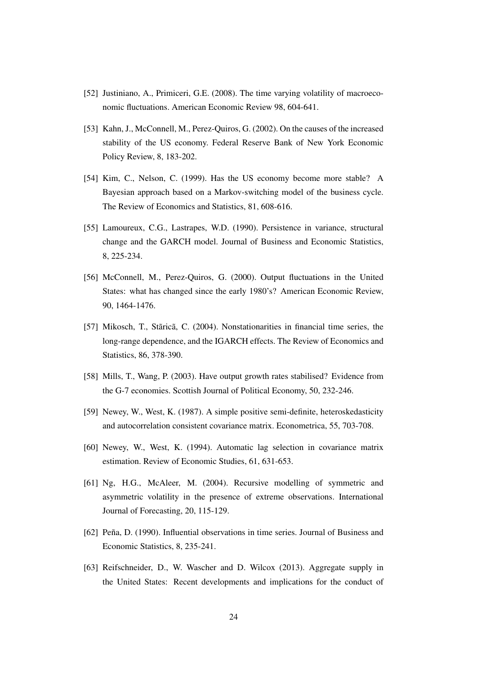- [52] Justiniano, A., Primiceri, G.E. (2008). The time varying volatility of macroeconomic fluctuations. American Economic Review 98, 604-641.
- [53] Kahn, J., McConnell, M., Perez-Quiros, G. (2002). On the causes of the increased stability of the US economy. Federal Reserve Bank of New York Economic Policy Review, 8, 183-202.
- [54] Kim, C., Nelson, C. (1999). Has the US economy become more stable? A Bayesian approach based on a Markov-switching model of the business cycle. The Review of Economics and Statistics, 81, 608-616.
- [55] Lamoureux, C.G., Lastrapes, W.D. (1990). Persistence in variance, structural change and the GARCH model. Journal of Business and Economic Statistics, 8, 225-234.
- [56] McConnell, M., Perez-Quiros, G. (2000). Output fluctuations in the United States: what has changed since the early 1980's? American Economic Review, 90, 1464-1476.
- [57] Mikosch, T., Stãricã, C. (2004). Nonstationarities in financial time series, the long-range dependence, and the IGARCH effects. The Review of Economics and Statistics, 86, 378-390.
- [58] Mills, T., Wang, P. (2003). Have output growth rates stabilised? Evidence from the G-7 economies. Scottish Journal of Political Economy, 50, 232-246.
- [59] Newey, W., West, K. (1987). A simple positive semi-definite, heteroskedasticity and autocorrelation consistent covariance matrix. Econometrica, 55, 703-708.
- [60] Newey, W., West, K. (1994). Automatic lag selection in covariance matrix estimation. Review of Economic Studies, 61, 631-653.
- [61] Ng, H.G., McAleer, M. (2004). Recursive modelling of symmetric and asymmetric volatility in the presence of extreme observations. International Journal of Forecasting, 20, 115-129.
- [62] Peña, D. (1990). Influential observations in time series. Journal of Business and Economic Statistics, 8, 235-241.
- [63] Reifschneider, D., W. Wascher and D. Wilcox (2013). Aggregate supply in the United States: Recent developments and implications for the conduct of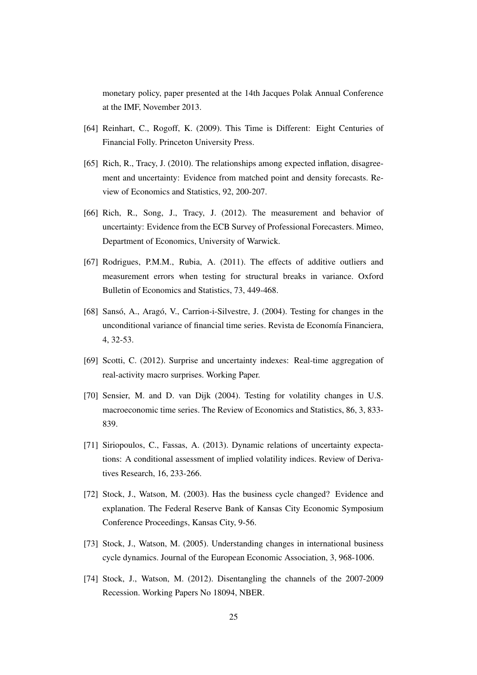monetary policy, paper presented at the 14th Jacques Polak Annual Conference at the IMF, November 2013.

- [64] Reinhart, C., Rogoff, K. (2009). This Time is Different: Eight Centuries of Financial Folly. Princeton University Press.
- [65] Rich, R., Tracy, J. (2010). The relationships among expected inflation, disagreement and uncertainty: Evidence from matched point and density forecasts. Review of Economics and Statistics, 92, 200-207.
- [66] Rich, R., Song, J., Tracy, J. (2012). The measurement and behavior of uncertainty: Evidence from the ECB Survey of Professional Forecasters. Mimeo, Department of Economics, University of Warwick.
- [67] Rodrigues, P.M.M., Rubia, A. (2011). The effects of additive outliers and measurement errors when testing for structural breaks in variance. Oxford Bulletin of Economics and Statistics, 73, 449-468.
- [68] Sansó, A., Aragó, V., Carrion-i-Silvestre, J. (2004). Testing for changes in the unconditional variance of financial time series. Revista de Economía Financiera, 4, 32-53.
- [69] Scotti, C. (2012). Surprise and uncertainty indexes: Real-time aggregation of real-activity macro surprises. Working Paper.
- [70] Sensier, M. and D. van Dijk (2004). Testing for volatility changes in U.S. macroeconomic time series. The Review of Economics and Statistics, 86, 3, 833- 839.
- [71] Siriopoulos, C., Fassas, A. (2013). Dynamic relations of uncertainty expectations: A conditional assessment of implied volatility indices. Review of Derivatives Research, 16, 233-266.
- [72] Stock, J., Watson, M. (2003). Has the business cycle changed? Evidence and explanation. The Federal Reserve Bank of Kansas City Economic Symposium Conference Proceedings, Kansas City, 9-56.
- [73] Stock, J., Watson, M. (2005). Understanding changes in international business cycle dynamics. Journal of the European Economic Association, 3, 968-1006.
- [74] Stock, J., Watson, M. (2012). Disentangling the channels of the 2007-2009 Recession. Working Papers No 18094, NBER.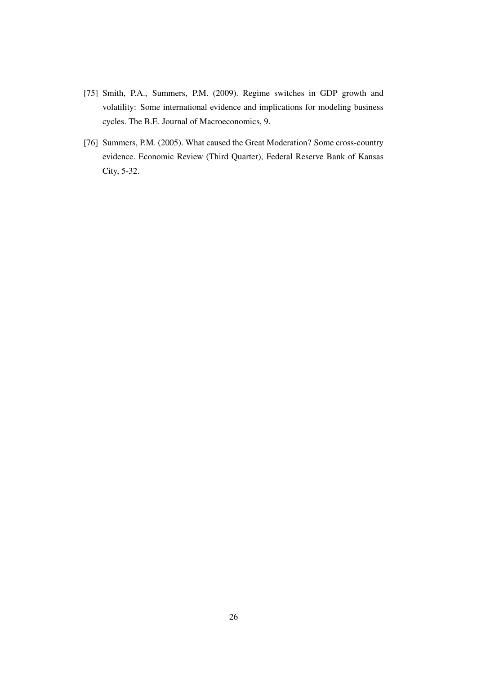- [75] Smith, P.A., Summers, P.M. (2009). Regime switches in GDP growth and volatility: Some international evidence and implications for modeling business cycles. The B.E. Journal of Macroeconomics, 9.
- [76] Summers, P.M. (2005). What caused the Great Moderation? Some cross-country evidence. Economic Review (Third Quarter), Federal Reserve Bank of Kansas City, 5-32.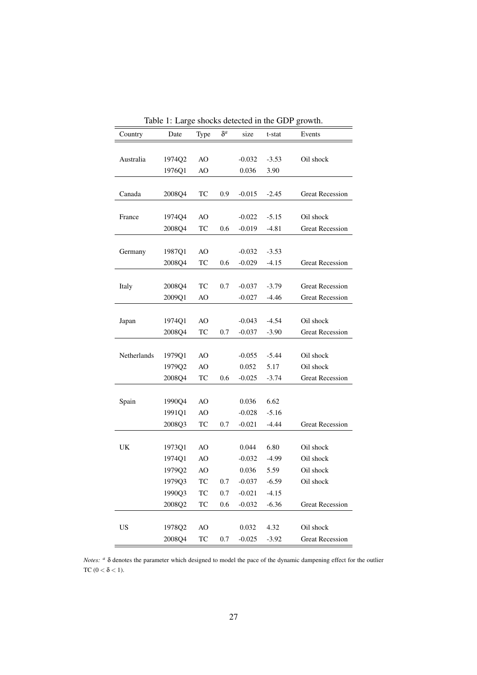| Country     | radio 1. Large shocks detected in the ODT growth.<br>Date | Type       | $\delta^a$ | size     | t-stat  | Events                 |
|-------------|-----------------------------------------------------------|------------|------------|----------|---------|------------------------|
|             |                                                           |            |            |          |         |                        |
|             |                                                           |            |            |          |         |                        |
| Australia   | 1974Q2                                                    | AO         |            | $-0.032$ | $-3.53$ | Oil shock              |
|             | 1976Q1                                                    | AO         |            | 0.036    | 3.90    |                        |
|             |                                                           |            |            |          |         |                        |
| Canada      | 2008Q4                                                    | TC         | 0.9        | $-0.015$ | $-2.45$ | <b>Great Recession</b> |
|             |                                                           |            |            |          |         |                        |
| France      | 1974Q4                                                    | AO         |            | $-0.022$ | $-5.15$ | Oil shock              |
|             | 2008Q4                                                    | TC         | 0.6        | $-0.019$ | $-4.81$ | <b>Great Recession</b> |
|             |                                                           |            |            |          |         |                        |
| Germany     | 1987Q1                                                    | AO         |            | $-0.032$ | $-3.53$ |                        |
|             | 2008Q4                                                    | TC         | 0.6        | $-0.029$ | $-4.15$ | <b>Great Recession</b> |
|             |                                                           |            |            |          |         |                        |
| Italy       | 2008Q4                                                    | TC         | 0.7        | $-0.037$ | $-3.79$ | <b>Great Recession</b> |
|             | 2009Q1                                                    | AO         |            | $-0.027$ | $-4.46$ | <b>Great Recession</b> |
|             |                                                           |            |            |          |         |                        |
| Japan       | 1974Q1                                                    | AO         |            | $-0.043$ | $-4.54$ | Oil shock              |
|             | 2008Q4                                                    | TC         | 0.7        | $-0.037$ | $-3.90$ | <b>Great Recession</b> |
|             |                                                           |            |            |          |         |                        |
| Netherlands | 1979Q1                                                    | AO         |            | $-0.055$ | $-5.44$ | Oil shock              |
|             | 1979Q2                                                    | AO         |            | 0.052    | 5.17    | Oil shock              |
|             | 2008Q4                                                    | TC         | 0.6        | $-0.025$ | $-3.74$ | <b>Great Recession</b> |
|             |                                                           |            |            |          |         |                        |
| Spain       | 1990Q4                                                    | AO         |            | 0.036    | 6.62    |                        |
|             | 1991Q1                                                    | AO         |            | $-0.028$ | $-5.16$ |                        |
|             | 2008Q3                                                    | TC         | 0.7        | $-0.021$ | -4.44   | <b>Great Recession</b> |
|             |                                                           |            |            |          |         |                        |
| UK          | 1973Q1                                                    | AO         |            | 0.044    | 6.80    | Oil shock              |
|             | 1974Q1                                                    | AO         |            | $-0.032$ | $-4.99$ | Oil shock              |
|             | 1979Q2                                                    | AO         |            | 0.036    | 5.59    | Oil shock              |
|             | 1979Q3                                                    | TC         | 0.7        | $-0.037$ | $-6.59$ | Oil shock              |
|             | 1990Q3                                                    | TC         | 0.7        | $-0.021$ | $-4.15$ |                        |
|             | 2008Q2                                                    | ${\rm TC}$ |            |          |         | <b>Great Recession</b> |
|             |                                                           |            | 0.6        | $-0.032$ | $-6.36$ |                        |
|             |                                                           |            |            |          |         |                        |
| US          | 1978Q2                                                    | AO         |            | 0.032    | 4.32    | Oil shock              |
|             | 2008Q4                                                    | TC         | 0.7        | $-0.025$ | $-3.92$ | <b>Great Recession</b> |

Table 1: Large shocks detected in the GDP growth.

*Notes: a* δ denotes the parameter which designed to model the pace of the dynamic dampening effect for the outlier TC ( $0 < \delta < 1$ ).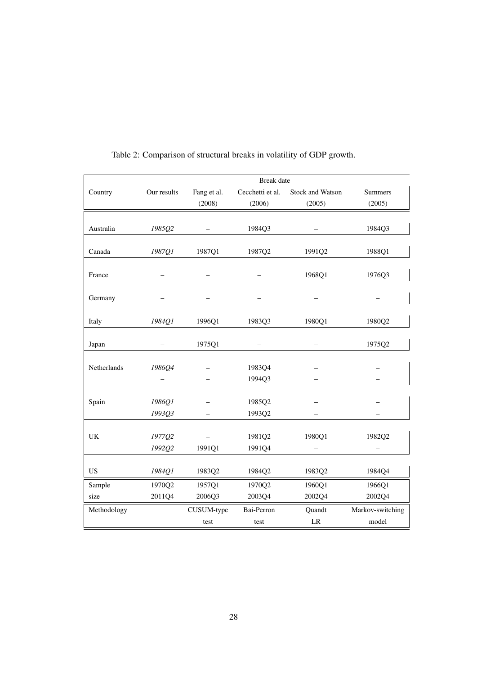|             |             |             | <b>Break</b> date |                  |                  |
|-------------|-------------|-------------|-------------------|------------------|------------------|
| Country     | Our results | Fang et al. | Cecchetti et al.  | Stock and Watson | Summers          |
|             |             | (2008)      | (2006)            | (2005)           | (2005)           |
|             |             |             |                   |                  |                  |
| Australia   | 1985Q2      |             | 1984Q3            |                  | 1984Q3           |
|             |             |             |                   |                  |                  |
| Canada      | 1987Q1      | 1987Q1      | 1987Q2            | 1991Q2           | 1988Q1           |
|             |             |             |                   |                  |                  |
| France      |             |             |                   | 1968Q1           | 1976Q3           |
|             |             |             |                   |                  |                  |
| Germany     |             |             |                   |                  |                  |
| Italy       | 1984Q1      | 1996Q1      | 1983Q3            | 1980Q1           | 1980Q2           |
|             |             |             |                   |                  |                  |
| Japan       |             | 1975Q1      |                   |                  | 1975Q2           |
|             |             |             |                   |                  |                  |
| Netherlands | 1986Q4      |             | 1983Q4            |                  |                  |
|             |             |             | 1994Q3            |                  |                  |
|             |             |             |                   |                  |                  |
| Spain       | 1986Q1      |             | 1985Q2            |                  |                  |
|             | 1993Q3      |             | 1993Q2            |                  |                  |
|             |             |             |                   |                  |                  |
| UK          | 1977Q2      |             | 1981Q2            | 1980Q1           | 1982Q2           |
|             | 1992Q2      | 1991Q1      | 1991Q4            |                  |                  |
| <b>US</b>   | 1984Q1      | 1983Q2      | 1984Q2            | 1983Q2           | 1984Q4           |
|             |             |             |                   |                  |                  |
| Sample      | 1970Q2      | 1957Q1      | 1970Q2            | 1960Q1           | 1966Q1           |
| size        | 2011Q4      | 2006Q3      | 2003Q4            | 2002Q4           | 2002Q4           |
| Methodology |             | CUSUM-type  | Bai-Perron        | Quandt           | Markov-switching |
|             |             | test        | test              | LR               | model            |

Table 2: Comparison of structural breaks in volatility of GDP growth.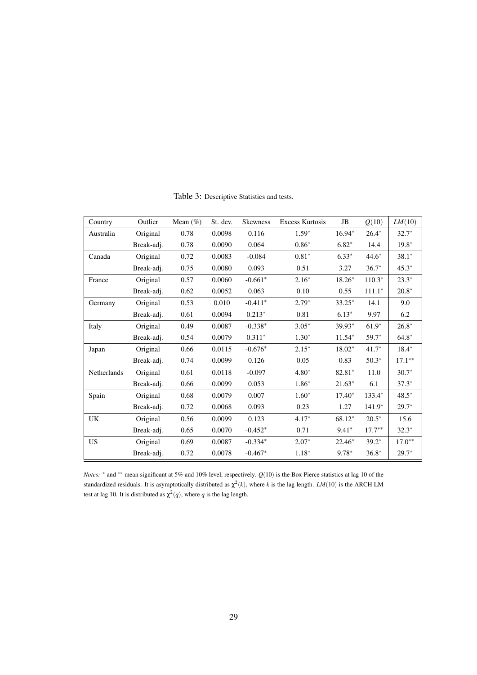| Country     | Outlier    | Mean $(\%)$ | St. dev. | <b>Skewness</b> | <b>Excess Kurtosis</b> | JB       | Q(10)     | LM(10)    |
|-------------|------------|-------------|----------|-----------------|------------------------|----------|-----------|-----------|
| Australia   | Original   | 0.78        | 0.0098   | 0.116           | $1.59*$                | $16.94*$ | $26.4*$   | $32.7*$   |
|             | Break-adj. | 0.78        | 0.0090   | 0.064           | $0.86*$                | $6.82*$  | 14.4      | $19.8*$   |
| Canada      | Original   | 0.72        | 0.0083   | $-0.084$        | $0.81*$                | $6.33*$  | $44.6*$   | $38.1*$   |
|             | Break-adj. | 0.75        | 0.0080   | 0.093           | 0.51                   | 3.27     | $36.7*$   | $45.3*$   |
| France      | Original   | 0.57        | 0.0060   | $-0.661*$       | $2.16*$                | 18.26*   | $110.3*$  | $23.3*$   |
|             | Break-adj. | 0.62        | 0.0052   | 0.063           | 0.10                   | 0.55     | $111.1*$  | $20.8*$   |
| Germany     | Original   | 0.53        | 0.010    | $-0.411*$       | $2.79*$                | $33.25*$ | 14.1      | 9.0       |
|             | Break-adj. | 0.61        | 0.0094   | $0.213*$        | 0.81                   | $6.13*$  | 9.97      | 6.2       |
| Italy       | Original   | 0.49        | 0.0087   | $-0.338*$       | $3.05*$                | 39.93*   | $61.9*$   | $26.8*$   |
|             | Break-adj. | 0.54        | 0.0079   | $0.311*$        | $1.30*$                | $11.54*$ | 59.7*     | $64.8*$   |
| Japan       | Original   | 0.66        | 0.0115   | $-0.676*$       | $2.15*$                | $18.02*$ | $41.7*$   | $18.4*$   |
|             | Break-adj. | 0.74        | 0.0099   | 0.126           | 0.05                   | 0.83     | $50.3*$   | $17.1***$ |
| Netherlands | Original   | 0.61        | 0.0118   | $-0.097$        | $4.80*$                | 82.81*   | 11.0      | $30.7*$   |
|             | Break-adj. | 0.66        | 0.0099   | 0.053           | $1.86*$                | $21.63*$ | 6.1       | $37.3*$   |
| Spain       | Original   | 0.68        | 0.0079   | 0.007           | $1.60*$                | $17.40*$ | $133.4*$  | $48.5*$   |
|             | Break-adj. | 0.72        | 0.0068   | 0.093           | 0.23                   | 1.27     | $141.9*$  | $29.7*$   |
| <b>UK</b>   | Original   | 0.56        | 0.0099   | 0.123           | $4.17*$                | 68.12*   | $20.5*$   | 15.6      |
|             | Break-adj. | 0.65        | 0.0070   | $-0.452*$       | 0.71                   | $9.41*$  | $17.7***$ | $32.3*$   |
| US          | Original   | 0.69        | 0.0087   | $-0.334*$       | $2.07*$                | $22.46*$ | $39.2*$   | $17.0**$  |
|             | Break-adj. | 0.72        | 0.0078   | $-0.467*$       | $1.18*$                | $9.78*$  | $36.8*$   | $29.7*$   |

Table 3: Descriptive Statistics and tests.

*Notes: <sup>∗</sup>* and *∗∗* mean significant at 5% and 10% level, respectively. *Q*(10) is the Box Pierce statistics at lag 10 of the standardized residuals. It is asymptotically distributed as  $\chi^2(k)$ , where k is the lag length. *LM*(10) is the ARCH LM test at lag 10. It is distributed as  $\chi^2(q)$ , where q is the lag length.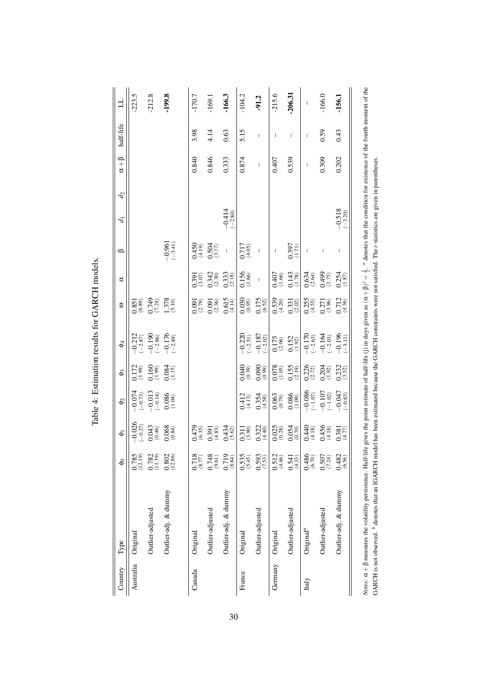| Country   | Type                                                                                                                                                                                                                                            | ୫                                     | $\bar{\bullet}$                                                     | $\Phi$                                                             | $\Phi$ 3                                                                                                   | $\Phi$                                                                | З                                                                                         | ರ                                      | $\circ$                               | $\overline{d}$           | $d_2$ | $\alpha + \beta$         | half-life                | 」                        |
|-----------|-------------------------------------------------------------------------------------------------------------------------------------------------------------------------------------------------------------------------------------------------|---------------------------------------|---------------------------------------------------------------------|--------------------------------------------------------------------|------------------------------------------------------------------------------------------------------------|-----------------------------------------------------------------------|-------------------------------------------------------------------------------------------|----------------------------------------|---------------------------------------|--------------------------|-------|--------------------------|--------------------------|--------------------------|
| Australia | Original                                                                                                                                                                                                                                        | $\frac{0.785}{(12.19)}$               |                                                                     |                                                                    |                                                                                                            |                                                                       |                                                                                           |                                        |                                       |                          |       |                          |                          | $-223.5$                 |
|           | Outlier-adjusted                                                                                                                                                                                                                                | $\frac{0.782}{(11.39)}$               | $\begin{array}{r} -0.026 \\ (-0.27) \\ 0.043 \\ (0.46) \end{array}$ | $-0.73$<br>$-0.73$<br>$-0.013$<br>$-0.014$<br>$-0.086$<br>$-0.086$ | $\begin{array}{c} 0.172 \\ (1.99) \\ (1.90) \\ (1.90) \\ (1.90) \\ (1.90) \\ (1.15) \\ (1.15) \end{array}$ | $\begin{array}{r} -0.212 \\ (-2.87) \\ -0.190 \\ (-2.86) \end{array}$ | $0.851$<br>$0.89$<br>$0.749$<br>$0.74$<br>$0.24$                                          |                                        |                                       |                          |       |                          |                          | $-212.8$                 |
|           | Outlier-adj. & dummy                                                                                                                                                                                                                            | $0.802$<br>(12.86)                    | $0.068$<br>(0.84)                                                   |                                                                    |                                                                                                            | $\frac{-0.176}{(-2.89)}$                                              | $1.378$<br>(5.10)                                                                         |                                        | $\frac{-0.961}{(-3.41)}$              |                          |       |                          |                          | -199.8                   |
| Canada    | Original                                                                                                                                                                                                                                        | $\underset{\left(8.77\right)}{0.718}$ | $^{(6.35)}_{(6.35)}$                                                |                                                                    |                                                                                                            |                                                                       |                                                                                           |                                        |                                       |                          |       | 0.840                    | 3.98                     | -170.7                   |
|           | Outlier-adjusted                                                                                                                                                                                                                                | $^{(9.748}_{(9.61)}$                  | $\frac{(67)}{(4.83)}$                                               |                                                                    |                                                                                                            |                                                                       | $\begin{array}{c} (2.79) \\ (2.79) \\ (0.091) \\ (2.36) \\ (0.615) \\ (4.14) \end{array}$ | $\frac{391}{(3.07)}$<br>0.342<br>0.342 | 0.450<br>0.504<br>0.571               |                          |       | 0.846                    | 4.14                     | $-169.1$                 |
|           | Outlier-adj. & dummy                                                                                                                                                                                                                            | $\frac{(6.719)}{(8.84)}$              | $0.434$<br>(5.62)                                                   |                                                                    |                                                                                                            |                                                                       |                                                                                           | $\frac{0.333}{(2.18)}$                 | $\overline{1}$                        | $-0.414$<br>$(-2.80)$    |       | 0.333                    | 0.63                     | -166.3                   |
| France    | Original                                                                                                                                                                                                                                        | $\frac{(5.535)}{(5.45)}$              | $\frac{0.311}{(3.90)}$                                              | $\frac{1413}{(4.13)}$                                              | $^{(66.0)}_{(0.39)}$                                                                                       | $-0.220$<br>$(-2.51)$                                                 | $\begin{array}{c} 0.030 \\ (0.95) \end{array}$                                            | $0.156$<br>(1.66)                      | 1717<br>(4.05)                        |                          |       | 0.874                    | 5.15                     | $-104.2$                 |
|           | Outlier-adjusted                                                                                                                                                                                                                                | $\frac{0.593}{(7.53)}$                | $0.322$<br>(4.40)                                                   | $\frac{(4.58)}{(4.58)}$                                            | $^{(66.0)}_{(0.99)}$                                                                                       | $-0.187$<br>$(-2.02)$                                                 | $0.175$<br>(6.52)                                                                         | $\bar{1}$                              | $\begin{array}{c} \hline \end{array}$ |                          |       | $\overline{\phantom{a}}$ | $\overline{\phantom{a}}$ | $-91.2$                  |
| Germany   | Original                                                                                                                                                                                                                                        | $0.512$<br>(4.46)                     | $0.025$<br>$(0.28)$                                                 |                                                                    |                                                                                                            |                                                                       |                                                                                           |                                        | $\begin{array}{c} \hline \end{array}$ |                          |       | 0.407                    | $\overline{1}$           | $-215.6$                 |
|           | Outlier-adjusted                                                                                                                                                                                                                                | $0.541$<br>(4.33)                     | $0.054$<br>$(0.70)$                                                 | $\begin{array}{c} 0.063 \\ 0.79 \\ 0.086 \\ 1.09 \end{array}$      | $\begin{array}{c} 0.078 \\ (1.05) \\ 0.155 \\ (2.19) \end{array}$                                          | $\begin{array}{c} 0.175 \\ (2.06) \\ 0.152 \\ (1.92) \end{array}$     | $\begin{array}{c} 0.539 \\ (4.20) \\ 0.331 \\ (2.02) \end{array}$                         | 0.407<br>0.66<br>0.143<br>0.78)        | (1.71)                                |                          |       | 0.539                    | I                        | $-206.31$                |
| Italy     | Original <sup>a</sup>                                                                                                                                                                                                                           | $\frac{(0.486}{(6.70)}$               | $\frac{(4.18)}{(4.18)}$                                             |                                                                    |                                                                                                            |                                                                       | $\frac{(5255)}{(4.55)}$                                                                   |                                        | $\begin{array}{c} \hline \end{array}$ |                          |       | I                        | I                        | $\overline{\phantom{a}}$ |
|           | Outlier-adjusted                                                                                                                                                                                                                                | $0.507$<br>(7.24)                     | $0.456$<br>(4.18)                                                   | $-0.086$<br>$(-1.07)$<br>$-0.107$<br>$(-1.02)$                     | $\begin{array}{c} 0.226 \\ 2.72 \\ 0.204 \\ 0.92 \end{array}$                                              | $-0.170$<br>$(-2.63)$<br>$-0.164$<br>$(-2.03)$                        | $0.271$<br>(3.96)                                                                         | $0.634$<br>$0.499$<br>$0.75$ )         | $\mathsf{I}$                          |                          |       | 0.309                    | 0.59                     | $-166.0$                 |
|           | Outlier-adj. & dunnny                                                                                                                                                                                                                           | $0.482$<br>(6.56)                     | $\frac{0.381}{(4.77)}$                                              | $-0.047$<br>$(-0.63)$                                              | $0.232$<br>(3.52)                                                                                          | $-0.196$<br>$-3.11)$                                                  | 0.712<br>(4.36)                                                                           | $0.254$<br>$(1.87)$                    | I                                     | $\frac{-0.518}{(-3.20)}$ |       | 0.202                    | 0.43                     | -156.1                   |
|           | Notes: $\alpha + \beta$ measures the volatility persistence. Half-life gives the point estimate of half-life (i) in days given as $(\alpha + \beta)^{j} = \frac{1}{2}$ . " denotes that the condition for existence of the fourth moment of the |                                       |                                                                     |                                                                    |                                                                                                            |                                                                       |                                                                                           |                                        |                                       |                          |       |                          |                          |                          |

GARCH is not observed. *b* denotes that an IGARCH model has been estimated because the GARCH constraints were not satisfied. The *t*-statistics are given in parentheses.

GARCH is not observed. <sup>b</sup> denotes that an IGARCH model has been estimated because the GARCH constraints were not satisfied. The t-statistics are given in parentheses.

Table 4: Estimation results for GARCH models. Table 4: Estimation results for GARCH models.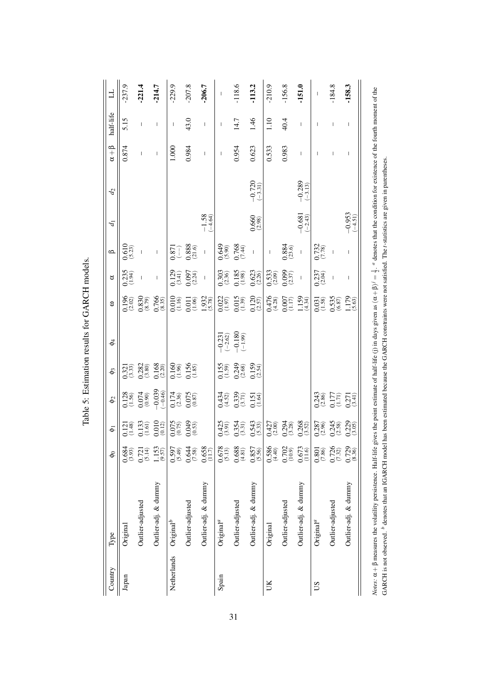| 」                 | 237.9                  | 221.4                                                                                                                                                                                                                                                                                                                                                                                                          | $-214.7$                                                                                                                                                                                                                                                                                                                                                                                                       | $-229.9$                                                                                                                                                                            | $-207.8$                               | -206.7                                                                          | $\begin{array}{c} \rule{0pt}{2ex} \rule{0pt}{2ex} \rule{0pt}{2ex} \rule{0pt}{2ex} \rule{0pt}{2ex} \rule{0pt}{2ex} \rule{0pt}{2ex} \rule{0pt}{2ex} \rule{0pt}{2ex} \rule{0pt}{2ex} \rule{0pt}{2ex} \rule{0pt}{2ex} \rule{0pt}{2ex} \rule{0pt}{2ex} \rule{0pt}{2ex} \rule{0pt}{2ex} \rule{0pt}{2ex} \rule{0pt}{2ex} \rule{0pt}{2ex} \rule{0pt}{2ex} \rule{0pt}{2ex} \rule{0pt}{2ex} \rule{0pt}{2ex} \rule{0pt}{$ | .118.6                                                                                            | 113.2                    | $-210.9$                 | .156.8                                                                               | 151.0                                            | I                      | $-184.8$                                                                                                                                                                                                                                                                                                                                                                         | $-158.3$                                                                                                                                                                                                                                                                                                                                                                         |
|-------------------|------------------------|----------------------------------------------------------------------------------------------------------------------------------------------------------------------------------------------------------------------------------------------------------------------------------------------------------------------------------------------------------------------------------------------------------------|----------------------------------------------------------------------------------------------------------------------------------------------------------------------------------------------------------------------------------------------------------------------------------------------------------------------------------------------------------------------------------------------------------------|-------------------------------------------------------------------------------------------------------------------------------------------------------------------------------------|----------------------------------------|---------------------------------------------------------------------------------|----------------------------------------------------------------------------------------------------------------------------------------------------------------------------------------------------------------------------------------------------------------------------------------------------------------------------------------------------------------------------------------------------------------|---------------------------------------------------------------------------------------------------|--------------------------|--------------------------|--------------------------------------------------------------------------------------|--------------------------------------------------|------------------------|----------------------------------------------------------------------------------------------------------------------------------------------------------------------------------------------------------------------------------------------------------------------------------------------------------------------------------------------------------------------------------|----------------------------------------------------------------------------------------------------------------------------------------------------------------------------------------------------------------------------------------------------------------------------------------------------------------------------------------------------------------------------------|
| half-life         | 5.15                   | I                                                                                                                                                                                                                                                                                                                                                                                                              | I                                                                                                                                                                                                                                                                                                                                                                                                              | $\mathsf{I}$                                                                                                                                                                        | 43.0                                   |                                                                                 | I                                                                                                                                                                                                                                                                                                                                                                                                              | 14.7                                                                                              | 1.46                     | 1.10                     | 40.4                                                                                 | I                                                |                        | I                                                                                                                                                                                                                                                                                                                                                                                | I                                                                                                                                                                                                                                                                                                                                                                                |
| $\alpha + \beta$  | 0.874                  | I                                                                                                                                                                                                                                                                                                                                                                                                              | I                                                                                                                                                                                                                                                                                                                                                                                                              | 1.000                                                                                                                                                                               | 0.984                                  | $\begin{array}{c} \hline \end{array}$                                           | I                                                                                                                                                                                                                                                                                                                                                                                                              | 0.954                                                                                             | 0.623                    | 0.533                    | 0.983                                                                                | I                                                |                        |                                                                                                                                                                                                                                                                                                                                                                                  | I                                                                                                                                                                                                                                                                                                                                                                                |
| $\mathcal{L}_{2}$ |                        |                                                                                                                                                                                                                                                                                                                                                                                                                |                                                                                                                                                                                                                                                                                                                                                                                                                |                                                                                                                                                                                     |                                        |                                                                                 |                                                                                                                                                                                                                                                                                                                                                                                                                |                                                                                                   | $\frac{-0.720}{(-3.31)}$ |                          |                                                                                      | $\frac{-0.289}{(-3.13)}$                         |                        |                                                                                                                                                                                                                                                                                                                                                                                  |                                                                                                                                                                                                                                                                                                                                                                                  |
| $\overline{d}$    |                        |                                                                                                                                                                                                                                                                                                                                                                                                                |                                                                                                                                                                                                                                                                                                                                                                                                                |                                                                                                                                                                                     |                                        | $-1.58$<br>$(-4.64)$                                                            |                                                                                                                                                                                                                                                                                                                                                                                                                |                                                                                                   | $0.660$<br>(2.98)        |                          |                                                                                      | $\frac{-0.681}{(-2.43)}$                         |                        |                                                                                                                                                                                                                                                                                                                                                                                  | $\frac{-0.953}{(-4.51)}$                                                                                                                                                                                                                                                                                                                                                         |
| $\Omega$          | $0.610$<br>(5.23)      |                                                                                                                                                                                                                                                                                                                                                                                                                | $\begin{array}{c} \rule{0pt}{2ex} \rule{0pt}{2ex} \rule{0pt}{2ex} \rule{0pt}{2ex} \rule{0pt}{2ex} \rule{0pt}{2ex} \rule{0pt}{2ex} \rule{0pt}{2ex} \rule{0pt}{2ex} \rule{0pt}{2ex} \rule{0pt}{2ex} \rule{0pt}{2ex} \rule{0pt}{2ex} \rule{0pt}{2ex} \rule{0pt}{2ex} \rule{0pt}{2ex} \rule{0pt}{2ex} \rule{0pt}{2ex} \rule{0pt}{2ex} \rule{0pt}{2ex} \rule{0pt}{2ex} \rule{0pt}{2ex} \rule{0pt}{2ex} \rule{0pt}{$ |                                                                                                                                                                                     | $0.871$<br>$0.888$<br>$(21.6)$         | $\mathbf{I}$                                                                    |                                                                                                                                                                                                                                                                                                                                                                                                                | $0.649$<br>$0.768$<br>$0.768$<br>$(7.41)$                                                         |                          | $\vert$                  | $\frac{0.884}{(23.6)}$                                                               | $\overline{1}$                                   | 0.732<br>(7.78)        | $\overline{\phantom{a}}$                                                                                                                                                                                                                                                                                                                                                         | $\begin{array}{c} \rule{0pt}{2.5ex} \rule{0pt}{2.5ex} \rule{0pt}{2.5ex} \rule{0pt}{2.5ex} \rule{0pt}{2.5ex} \rule{0pt}{2.5ex} \rule{0pt}{2.5ex} \rule{0pt}{2.5ex} \rule{0pt}{2.5ex} \rule{0pt}{2.5ex} \rule{0pt}{2.5ex} \rule{0pt}{2.5ex} \rule{0pt}{2.5ex} \rule{0pt}{2.5ex} \rule{0pt}{2.5ex} \rule{0pt}{2.5ex} \rule{0pt}{2.5ex} \rule{0pt}{2.5ex} \rule{0pt}{2.5ex} \rule{0$ |
| ರ                 | $0.235$<br>(1.94)      | $\begin{array}{c} \rule{0pt}{2ex} \rule{0pt}{2ex} \rule{0pt}{2ex} \rule{0pt}{2ex} \rule{0pt}{2ex} \rule{0pt}{2ex} \rule{0pt}{2ex} \rule{0pt}{2ex} \rule{0pt}{2ex} \rule{0pt}{2ex} \rule{0pt}{2ex} \rule{0pt}{2ex} \rule{0pt}{2ex} \rule{0pt}{2ex} \rule{0pt}{2ex} \rule{0pt}{2ex} \rule{0pt}{2ex} \rule{0pt}{2ex} \rule{0pt}{2ex} \rule{0pt}{2ex} \rule{0pt}{2ex} \rule{0pt}{2ex} \rule{0pt}{2ex} \rule{0pt}{$ | $\mid$                                                                                                                                                                                                                                                                                                                                                                                                         |                                                                                                                                                                                     | $0.129$<br>(3.41)<br>(3.097)<br>(2.24) |                                                                                 |                                                                                                                                                                                                                                                                                                                                                                                                                | $\begin{array}{c} 0.303 \\ (2.36) \\ 0.185 \\ (1.98) \\ 0.623 \end{array}$                        |                          |                          | $\begin{matrix} 0.533 \\ 2.09 \\ 0.099 \\ 2.37 \end{matrix}$                         | $\overline{1}$                                   | $0.237$<br>(2.04)      | $\begin{array}{c} \rule{0pt}{2.5ex} \rule{0pt}{2.5ex} \rule{0pt}{2.5ex} \rule{0pt}{2.5ex} \rule{0pt}{2.5ex} \rule{0pt}{2.5ex} \rule{0pt}{2.5ex} \rule{0pt}{2.5ex} \rule{0pt}{2.5ex} \rule{0pt}{2.5ex} \rule{0pt}{2.5ex} \rule{0pt}{2.5ex} \rule{0pt}{2.5ex} \rule{0pt}{2.5ex} \rule{0pt}{2.5ex} \rule{0pt}{2.5ex} \rule{0pt}{2.5ex} \rule{0pt}{2.5ex} \rule{0pt}{2.5ex} \rule{0$ | $\overline{\phantom{a}}$                                                                                                                                                                                                                                                                                                                                                         |
| З                 |                        | $\begin{array}{c} 0.196 \\ (2.02) \\ 0.830 \\ (8.79) \\ 0.766 \\ (8.35) \end{array}$                                                                                                                                                                                                                                                                                                                           |                                                                                                                                                                                                                                                                                                                                                                                                                |                                                                                                                                                                                     |                                        | $\begin{array}{r} 0.010 \\ 0.16 \\ 0.011 \\ 0.05 \\ 1.932 \\ 0.578 \end{array}$ | $\begin{array}{c} 0.022 \\ (1.97) \\ 0.015 \\ (1.39) \\ 0.120 \\ (2.57) \end{array}$                                                                                                                                                                                                                                                                                                                           |                                                                                                   |                          |                          |                                                                                      | $0.476$<br>(4.28)<br>(0.007)<br>(1.17)<br>(4.34) |                        | 0.031<br>(1.58)<br>0.535<br>(6.87)<br>1.179<br>1.5.63)                                                                                                                                                                                                                                                                                                                           |                                                                                                                                                                                                                                                                                                                                                                                  |
| $\Phi_4$          |                        |                                                                                                                                                                                                                                                                                                                                                                                                                |                                                                                                                                                                                                                                                                                                                                                                                                                |                                                                                                                                                                                     |                                        |                                                                                 |                                                                                                                                                                                                                                                                                                                                                                                                                | $-0.231$<br>$(-2.62)$<br>$-0.180$<br>$(-1.99)$                                                    |                          |                          |                                                                                      |                                                  |                        |                                                                                                                                                                                                                                                                                                                                                                                  |                                                                                                                                                                                                                                                                                                                                                                                  |
| $\Phi_3$          |                        |                                                                                                                                                                                                                                                                                                                                                                                                                |                                                                                                                                                                                                                                                                                                                                                                                                                | $\begin{array}{l} 0.321 \\ 0.282 \\ 0.280 \\ 0.168 \\ 0.160 \\ 0.100 \\ 0.150 \\ 0.135 \\ 0.135 \\ 0.135 \\ \end{array}$                                                            |                                        |                                                                                 |                                                                                                                                                                                                                                                                                                                                                                                                                | $0.155$<br>$(1.59)$<br>$0.249$<br>$(2.68)$<br>$(2.54)$<br>$(2.54)$                                |                          |                          |                                                                                      |                                                  |                        |                                                                                                                                                                                                                                                                                                                                                                                  |                                                                                                                                                                                                                                                                                                                                                                                  |
| $\phi$            |                        |                                                                                                                                                                                                                                                                                                                                                                                                                |                                                                                                                                                                                                                                                                                                                                                                                                                | $\begin{array}{l} 0.128 \\[-2pt] 0.56) \\[-2pt] 0.074 \\[-2pt] 0.039 \\[-2pt] -0.039 \\[-2pt] -0.046) \\[-2pt] 0.174 \\[-2pt] 0.075 \\[-2pt] 0.075 \\[-2pt] 0.075 \end{array}$      |                                        |                                                                                 |                                                                                                                                                                                                                                                                                                                                                                                                                | $0.434$<br>$(4.52)$<br>$0.339$<br>$(3.71)$<br>$0.151$<br>$(1.64)$                                 |                          |                          |                                                                                      |                                                  |                        | $\begin{array}{c} 0.243 \\ (2.86) \\ 0.177 \\ (1.71) \\ 0.271 \\ (3.41) \\ \end{array}$                                                                                                                                                                                                                                                                                          |                                                                                                                                                                                                                                                                                                                                                                                  |
| $\bar{\Phi}$      |                        |                                                                                                                                                                                                                                                                                                                                                                                                                |                                                                                                                                                                                                                                                                                                                                                                                                                | $\begin{array}{l} 0.121 \\[-4pt] 0.133 \\[-4pt] 0.130 \\[-4pt] 0.010 \\[-4pt] 0.012 \\[-4pt] 0.075 \\[-4pt] 0.075 \\[-4pt] 0.049 \\[-4pt] 0.033 \\[-4pt] 0.33 \\[-4pt] \end{array}$ |                                        |                                                                                 |                                                                                                                                                                                                                                                                                                                                                                                                                | $\begin{array}{c} (0.425 \\ (3.91) \\ (3.31) \\ (3.31) \\ (3.31) \\ (5.43) \\ (5.33) \end{array}$ |                          |                          | $\begin{array}{c} 0.427 \\ (2.00) \\ 0.294 \\ (3.28) \\ 0.268 \\ (3.52) \end{array}$ |                                                  |                        | $\begin{array}{c} 0.287 \\ (2.96) \\ 0.245 \\ (2.58) \\ 0.229 \\ (3.05) \end{array}$                                                                                                                                                                                                                                                                                             |                                                                                                                                                                                                                                                                                                                                                                                  |
| $\delta$          | $\frac{0.684}{(3.93)}$ | $0.721$<br>(5.14)                                                                                                                                                                                                                                                                                                                                                                                              | $1.153$<br>(9.57)                                                                                                                                                                                                                                                                                                                                                                                              | $0.597$<br>(5.49)                                                                                                                                                                   | $\frac{(7.58)}{(7.58)}$                | $0.658$<br>(11.7)                                                               | $\frac{0.678}{(5.13)}$                                                                                                                                                                                                                                                                                                                                                                                         | $\underset{\left(4,81\right)}{0.688}$                                                             | $\frac{(9.857)}{(5.56)}$ | $\frac{(0.586)}{(4.40)}$ | $0.702$<br>(10.9)                                                                    | $0.673$<br>(11.6)                                | $\frac{0.801}{(7.86)}$ | $0.726$<br>$(7.32)$                                                                                                                                                                                                                                                                                                                                                              | $0.729$<br>$(8.36)$                                                                                                                                                                                                                                                                                                                                                              |
| Type              | Original               | Outlier-adjusted                                                                                                                                                                                                                                                                                                                                                                                               | Outlier-adj. & dummy                                                                                                                                                                                                                                                                                                                                                                                           | Original $^b$                                                                                                                                                                       | Outlier-adjusted                       | Outlier-adj. & dummy                                                            | Original <sup>a</sup>                                                                                                                                                                                                                                                                                                                                                                                          | Outlier-adjusted                                                                                  | Outlier-adj. & dummy     | Original                 | Outlier-adjusted                                                                     | Outlier-adj. & dummy                             | Original <sup>a</sup>  | Outlier-adjusted                                                                                                                                                                                                                                                                                                                                                                 | Outlier-adj. & dummy                                                                                                                                                                                                                                                                                                                                                             |
| Country           | Japan                  |                                                                                                                                                                                                                                                                                                                                                                                                                |                                                                                                                                                                                                                                                                                                                                                                                                                | Netherlands                                                                                                                                                                         |                                        |                                                                                 | Spain                                                                                                                                                                                                                                                                                                                                                                                                          |                                                                                                   |                          | UK                       |                                                                                      |                                                  | SU                     |                                                                                                                                                                                                                                                                                                                                                                                  |                                                                                                                                                                                                                                                                                                                                                                                  |

Table 5: Estimation results for GARCH models. Table 5: Estimation results for GARCH models. *Notes*:  $\alpha + \beta$  measures the volatility persistence. Half-life gives the point estimate of half-life (j) in days given as  $(\alpha + \beta)^{j} = \frac{1}{2}$ . <sup>*a*</sup> denotes that the condition for existence of the fourth moment of the *Notes*:  $\alpha + \beta$  measures the volatility persistence. Half-life gives the point estimate of half-life (j) in days given as  $(\alpha + \beta)^j = \frac{1}{2}$ . *a* denotes that the condition for existence of the fourth moment of the GARCH is not observed. <sup>b</sup> denotes that an IGARCH model has been estimated because the GARCH constraints were not satisfied. The t-statistics are given in parentheses. GARCH is not observed. *b* denotes that an IGARCH model has been estimated because the GARCH constraints were not satisfied. The *t*-statistics are given in parentheses.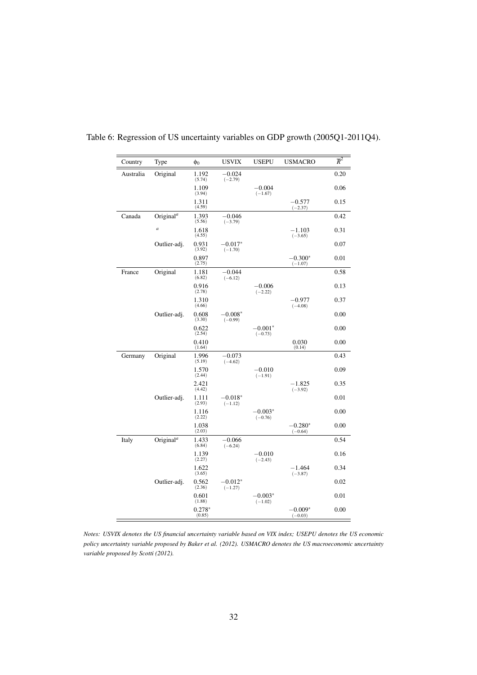| Country   | Type                               | $\phi_0$           | <b>USVIX</b>           | <b>USEPU</b>           | <b>USMACRO</b>         | $\overline{R}^2$ |
|-----------|------------------------------------|--------------------|------------------------|------------------------|------------------------|------------------|
| Australia | Original                           | 1.192<br>(5.74)    | $-0.024$<br>$(-2.79)$  |                        |                        | 0.20             |
|           |                                    | 1.109<br>(3.94)    |                        | $-0.004$<br>$(-1.67)$  |                        | 0.06             |
|           |                                    | 1.311<br>(4.59)    |                        |                        | $-0.577$<br>$(-2.37)$  | 0.15             |
| Canada    | Original <sup><math>a</math></sup> | 1.393<br>(5.56)    | $-0.046$<br>$(-3.79)$  |                        |                        | 0.42             |
|           | $\overline{a}$                     | 1.618<br>(4.55)    |                        |                        | $-1.103$<br>$(-3.65)$  | 0.31             |
|           | Outlier-adj.                       | 0.931<br>(3.92)    | $-0.017*$<br>$(-1.70)$ |                        |                        | 0.07             |
|           |                                    | 0.897<br>(2.75)    |                        |                        | $-0.300*$<br>$(-1.07)$ | 0.01             |
| France    | Original                           | 1.181<br>(6.82)    | $-0.044$<br>$(-6.12)$  |                        |                        | 0.58             |
|           |                                    | 0.916<br>(2.78)    |                        | $-0.006$<br>$(-2.22)$  |                        | 0.13             |
|           |                                    | 1.310<br>(4.66)    |                        |                        | $-0.977$<br>$(-4.08)$  | 0.37             |
|           | Outlier-adj.                       | 0.608<br>(3.30)    | $-0.008*$<br>$(-0.99)$ |                        |                        | 0.00             |
|           |                                    | 0.622<br>(2.54)    |                        | $-0.001*$<br>$(-0.73)$ |                        | 0.00             |
|           |                                    | 0.410<br>(1.64)    |                        |                        | 0.030<br>(0.14)        | 0.00             |
| Germany   | Original                           | 1.996<br>(5.19)    | $-0.073$<br>$(-4.62)$  |                        |                        | 0.43             |
|           |                                    | 1.570<br>(2.44)    |                        | $-0.010$<br>$(-1.91)$  |                        | 0.09             |
|           |                                    | 2.421<br>(4.42)    |                        |                        | $-1.825$<br>$(-3.92)$  | 0.35             |
|           | Outlier-adj.                       | 1.111<br>(2.93)    | $-0.018*$<br>$(-1.12)$ |                        |                        | 0.01             |
|           |                                    | 1.116<br>(2.22)    |                        | $-0.003*$<br>$(-0.76)$ |                        | 0.00             |
|           |                                    | 1.038<br>(2.03)    |                        |                        | $-0.280*$<br>$(-0.64)$ | 0.00             |
| Italy     | Original <sup>a</sup>              | 1.433<br>(6.84)    | $-0.066$<br>$(-6.24)$  |                        |                        | 0.54             |
|           |                                    | 1.139<br>(2.27)    |                        | $-0.010$<br>$(-2.43)$  |                        | 0.16             |
|           |                                    | 1.622<br>(3.65)    |                        |                        | $-1.464$<br>$(-3.87)$  | 0.34             |
|           | Outlier-adj.                       | 0.562<br>(2.36)    | $-0.012*$<br>$(-1.27)$ |                        |                        | 0.02             |
|           |                                    | 0.601<br>(1.88)    |                        | $-0.003*$<br>$(-1.02)$ |                        | 0.01             |
|           |                                    | $0.278*$<br>(0.85) |                        |                        | $-0.009*$<br>$(-0.03)$ | 0.00             |

Table 6: Regression of US uncertainty variables on GDP growth (2005Q1-2011Q4).

*Notes: USVIX denotes the US financial uncertainty variable based on VIX index; USEPU denotes the US economic policy uncertainty variable proposed by Baker et al. (2012). USMACRO denotes the US macroeconomic uncertainty variable proposed by Scotti (2012).*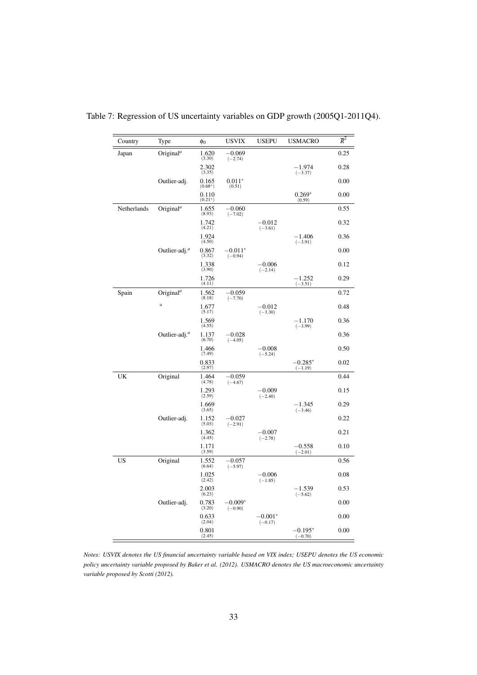| Country     | Type                               | Φo                 | <b>USVIX</b>           | <b>USEPU</b>            | <b>USMACRO</b>         | $\overline{R}^2$ |
|-------------|------------------------------------|--------------------|------------------------|-------------------------|------------------------|------------------|
| Japan       | Original <sup><math>a</math></sup> | 1.620<br>(3.30)    | $-0.069$<br>$(-2.74)$  |                         |                        | 0.25             |
|             |                                    | 2.302<br>(3.35)    |                        |                         | $-1.974$<br>$(-3.37)$  | 0.28             |
|             | Outlier-adj.                       | 0.165<br>$(0.68*)$ | $0.011*$<br>(0.51)     |                         |                        | 0.00             |
|             |                                    | 0.110<br>$(0.21*)$ |                        |                         | $0.269*$<br>(0.59)     | 0.00             |
| Netherlands | Original <sup><math>a</math></sup> | 1.655<br>(8.93)    | $-0.060$<br>$(-7.02)$  |                         |                        | 0.55             |
|             |                                    | 1.742<br>(4.21)    |                        | $-0.012$<br>$(-3.61)$   |                        | 0.32             |
|             |                                    | 1.924<br>(4.50)    |                        |                         | $-1.406$<br>$(-3.91)$  | 0.36             |
|             | Outlier-adj. <sup>a</sup>          | 0.867<br>(3.32)    | $-0.011*$<br>$(-0.94)$ |                         |                        | 0.00             |
|             |                                    | 1.338<br>(3.90)    |                        | $-0.006$<br>$(-2.14)$   |                        | 0.12             |
|             |                                    | 1.726<br>(4.11)    |                        |                         | $-1.252$<br>$(-3.51)$  | 0.29             |
| Spain       | Original <sup><math>a</math></sup> | 1.562<br>(8.18)    | $-0.059$<br>$(-7.70)$  |                         |                        | 0.72             |
|             | $\boldsymbol{a}$                   | 1.677<br>(5.17)    |                        | $-0.012$<br>$(-3.30)$   |                        | 0.48             |
|             |                                    | 1.569<br>(4.55)    |                        |                         | $-1.170$<br>$(-3.99)$  | 0.36             |
|             | Outlier-adj. <sup>a</sup>          | 1.137<br>(6.70)    | $-0.028$<br>$(-4.05)$  |                         |                        | 0.36             |
|             |                                    | 1.466<br>(7.49)    |                        | $-0.008$<br>$(-5.24)$   |                        | 0.50             |
|             |                                    | 0.833<br>(2.97)    |                        |                         | $-0.285*$<br>$(-1.19)$ | 0.02             |
| UK          | Original                           | 1.464<br>(4.78)    | $-0.059$<br>$(-4.67)$  |                         |                        | 0.44             |
|             |                                    | 1.293<br>(2.59)    |                        | $-0.009$<br>$(-2.40)$   |                        | 0.15             |
|             |                                    | 1.669<br>(3.65)    |                        |                         | $-1.345$<br>$(-3.46)$  | 0.29             |
|             | Outlier-adj.                       | 1.152<br>(5.03)    | $-0.027$<br>$(-2.91)$  |                         |                        | 0.22             |
|             |                                    | 1.362<br>(4.45)    |                        | $-0.007$<br>$(-2.78)$   |                        | 0.21             |
|             |                                    | 1.171<br>(3.59)    |                        |                         | $-0.558$<br>$(-2.01)$  | 0.10             |
| US          | Original                           | 1.552<br>(6.64)    | $-0.057$<br>$(-5.97)$  |                         |                        | 0.56             |
|             |                                    | 1.025<br>(2.42)    |                        | $-0.006$<br>$(-1.85)$   |                        | 0.08             |
|             |                                    | 2.003<br>(6.23)    |                        |                         | $-1.539$<br>$(-5.62)$  | 0.53             |
|             | Outlier-adj.                       | 0.783<br>(3.20)    | $-0.009*$<br>$(-0.90)$ |                         |                        | 0.00             |
|             |                                    | 0.633<br>(2.04)    |                        | $-0.001^*$<br>$(-0.17)$ |                        | 0.00             |
|             |                                    | 0.801<br>(2.45)    |                        |                         | $-0.195*$<br>$(-0.70)$ | 0.00             |

Table 7: Regression of US uncertainty variables on GDP growth (2005Q1-2011Q4).

*Notes: USVIX denotes the US financial uncertainty variable based on VIX index; USEPU denotes the US economic policy uncertainty variable proposed by Baker et al. (2012). USMACRO denotes the US macroeconomic uncertainty variable proposed by Scotti (2012).*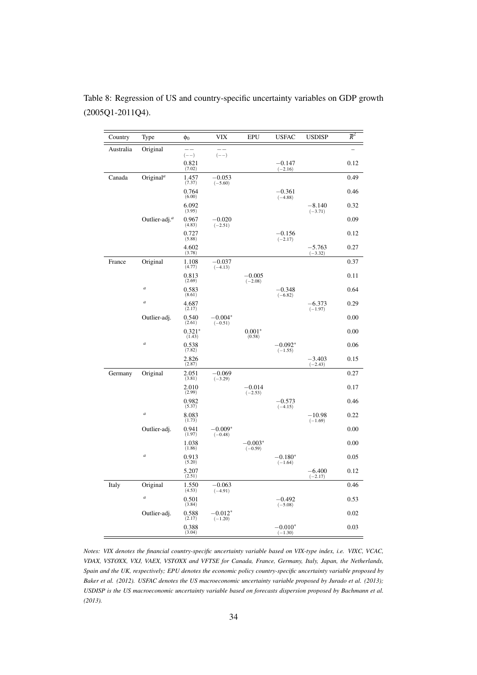| Country   | Type                      | $\phi_0$                              | <b>VIX</b>              | <b>EPU</b>             | <b>USFAC</b>           | <b>USDISP</b>         | $\overline{R}^2$ |
|-----------|---------------------------|---------------------------------------|-------------------------|------------------------|------------------------|-----------------------|------------------|
| Australia | Original                  | $(--)$                                | $(--)$                  |                        |                        |                       |                  |
|           |                           | 0.821<br>(7.02)                       |                         |                        | $-0.147$<br>$(-2.16)$  |                       | 0.12             |
| Canada    | Original <sup>a</sup>     | 1.457<br>(7.37)                       | $-0.053$<br>$(-5.60)$   |                        |                        |                       | 0.49             |
|           |                           | 0.764<br>(6.00)                       |                         |                        | $-0.361$<br>$(-4.88)$  |                       | 0.46             |
|           |                           | 6.092<br>(3.95)                       |                         |                        |                        | $-8.140$<br>$(-3.71)$ | 0.32             |
|           | Outlier-adj. <sup>a</sup> | 0.967<br>(4.83)                       | $-0.020$<br>$(-2.51)$   |                        |                        |                       | 0.09             |
|           |                           | 0.727<br>(5.88)                       |                         |                        | $-0.156$<br>$(-2.17)$  |                       | 0.12             |
|           |                           | 4.602<br>(3.78)                       |                         |                        |                        | $-5.763$<br>$(-3.32)$ | 0.27             |
| France    | Original                  | 1.108<br>(4.77)                       | $-0.037$<br>$(-4.13)$   |                        |                        |                       | 0.37             |
|           |                           | 0.813<br>(2.69)                       |                         | $-0.005$<br>$(-2.08)$  |                        |                       | 0.11             |
|           | $\boldsymbol{a}$          | 0.583<br>(8.61)                       |                         |                        | $-0.348$<br>$(-6.82)$  |                       | 0.64             |
|           | $\boldsymbol{a}$          | 4.687<br>(2.17)                       |                         |                        |                        | $-6.373$<br>$(-1.97)$ | 0.29             |
|           | Outlier-adj.              | 0.540<br>(2.61)                       | $-0.004*$<br>$(-0.51)$  |                        |                        |                       | 0.00             |
|           |                           | $0.321*$<br>(1.43)                    |                         | $0.001*$<br>(0.58)     |                        |                       | 0.00             |
|           | $\overline{a}$            | 0.538<br>(7.82)                       |                         |                        | $-0.092*$<br>$(-1.55)$ |                       | 0.06             |
|           |                           | 2.826<br>(2.87)                       |                         |                        |                        | $-3.403$<br>$(-2.43)$ | 0.15             |
| Germany   | Original                  | 2.051<br>(3.81)                       | $-0.069$<br>$(-3.29)$   |                        |                        |                       | 0.27             |
|           |                           | 2.010<br>(2.99)                       |                         | $-0.014$<br>$(-2.53)$  |                        |                       | 0.17             |
|           |                           | 0.982<br>(5.37)                       |                         |                        | $-0.573$<br>$(-4.15)$  |                       | 0.46             |
|           | $\boldsymbol{a}$          | 8.083<br>(1.73)                       |                         |                        |                        | $-10.98$<br>$(-1.69)$ | 0.22             |
|           | Outlier-adj.              | 0.941<br>(1.97)                       | $-0.009*$<br>$(-0.48)$  |                        |                        |                       | 0.00             |
|           |                           | 1.038<br>(1.86)                       |                         | $-0.003*$<br>$(-0.59)$ |                        |                       | 0.00             |
|           | $\boldsymbol{a}$          | 0.913<br>(5.20)                       |                         |                        | $-0.180*$<br>$(-1.64)$ |                       | 0.05             |
|           |                           | 5.207<br>(2.51)                       |                         |                        |                        | $-6.400$<br>$(-2.17)$ | 0.12             |
| Italy     | Original                  | $\underset{\left(4.53\right)}{1.550}$ | $-0.063$<br>$(-4.91)$   |                        |                        |                       | 0.46             |
|           | $\boldsymbol{a}$          | 0.501<br>(3.84)                       |                         |                        | $-0.492$<br>$(-5.08)$  |                       | 0.53             |
|           | Outlier-adj.              | 0.588<br>(2.17)                       | $-0.012^*$<br>$(-1.20)$ |                        |                        |                       | 0.02             |
|           |                           | 0.388<br>(3.04)                       |                         |                        | $-0.010*$<br>$(-1.30)$ |                       | 0.03             |

Table 8: Regression of US and country-specific uncertainty variables on GDP growth (2005Q1-2011Q4).

*Notes: VIX denotes the financial country-specific uncertainty variable based on VIX-type index, i.e. VIXC, VCAC, VDAX, VSTOXX, VXJ, VAEX, VSTOXX and VFTSE for Canada, France, Germany, Italy, Japan, the Netherlands, Spain and the UK, respectively; EPU denotes the economic policy country-specific uncertainty variable proposed by Baker et al. (2012). USFAC denotes the US macroeconomic uncertainty variable proposed by Jurado et al. (2013); USDISP is the US macroeconomic uncertainty variable based on forecasts dispersion proposed by Bachmann et al. (2013).*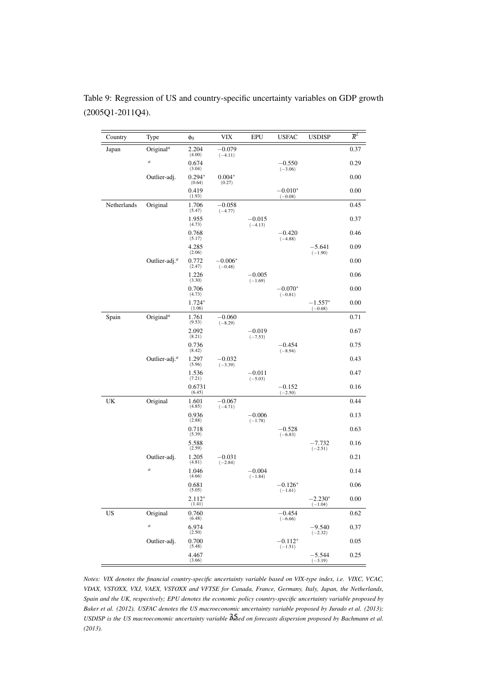| Country     | Type                               | $\phi_0$           | VIX                    | <b>EPU</b>            | <b>USFAC</b>           | <b>USDISP</b>          | $\overline{R}^2$ |
|-------------|------------------------------------|--------------------|------------------------|-----------------------|------------------------|------------------------|------------------|
| Japan       | Original <sup><math>a</math></sup> | 2.204<br>(4.00)    | $-0.079$<br>$(-4.11)$  |                       |                        |                        | 0.37             |
|             | $\it{a}$                           | 0.674<br>(3.04)    |                        |                       | $-0.550$<br>$(-3.06)$  |                        | 0.29             |
|             | Outlier-adj.                       | $0.294*$<br>(0.64) | $0.004*$<br>(0.27)     |                       |                        |                        | 0.00             |
|             |                                    | 0.419<br>(1.93)    |                        |                       | $-0.010*$<br>$(-0.08)$ |                        | 0.00             |
| Netherlands | Original                           | 1.706<br>(5.47)    | $-0.058$<br>$(-4.77)$  |                       |                        |                        | 0.45             |
|             |                                    | 1.955<br>(4.73)    |                        | $-0.015$<br>$(-4.13)$ |                        |                        | 0.37             |
|             |                                    | 0.768<br>(5.17)    |                        |                       | $-0.420$<br>$(-4.88)$  |                        | 0.46             |
|             |                                    | 4.285<br>(2.06)    |                        |                       |                        | $-5.641$<br>$(-1.90)$  | 0.09             |
|             | Outlier-adj. <sup>a</sup>          | 0.772<br>(2.47)    | $-0.006*$<br>$(-0.48)$ |                       |                        |                        | 0.00             |
|             |                                    | 1.226<br>(3.30)    |                        | $-0.005$<br>$(-1.69)$ |                        |                        | 0.06             |
|             |                                    | 0.706<br>(4.73)    |                        |                       | $-0.070*$<br>$(-0.81)$ |                        | 0.00             |
|             |                                    | $1.724*$<br>(1.06) |                        |                       |                        | $-1.557*$<br>$(-0.68)$ | 0.00             |
| Spain       | Original <sup><math>a</math></sup> | 1.761<br>(9.53)    | $-0.060$<br>$(-8.29)$  |                       |                        |                        | 0.71             |
|             |                                    | 2.092<br>(8.21)    |                        | $-0.019$<br>$(-7.53)$ |                        |                        | 0.67             |
|             |                                    | 0.736<br>(8.42)    |                        |                       | $-0.454$<br>$(-8.94)$  |                        | 0.75             |
|             | Outlier-adj. <sup>a</sup>          | 1.297<br>(5.96)    | $-0.032$<br>$(-3.39)$  |                       |                        |                        | 0.43             |
|             |                                    | 1.536<br>(7.21)    |                        | $-0.011$<br>$(-5.03)$ |                        |                        | 0.47             |
|             |                                    | 0.6731<br>(6.45)   |                        |                       | $-0.152$<br>$(-2.50)$  |                        | 0.16             |
| UK          | Original                           | 1.601<br>(4.85)    | $-0.067$<br>$(-4.71)$  |                       |                        |                        | 0.44             |
|             |                                    | 0.936<br>(2.88)    |                        | $-0.006$<br>$(-1.78)$ |                        |                        | 0.13             |
|             |                                    | 0.718<br>(5.39)    |                        |                       | $-0.528$<br>$(-6.83)$  |                        | 0.63             |
|             |                                    | 5.588<br>(2.59)    |                        |                       |                        | $-7.732$<br>$(-2.51)$  | 0.16             |
|             | Outlier-adj.                       | 1.205<br>(4.81)    | $-0.031$<br>$(-2.84)$  |                       |                        |                        | 0.21             |
|             | $\boldsymbol{a}$                   | 1.046<br>(4.66)    |                        | $-0.004$<br>$(-1.84)$ |                        |                        | 0.14             |
|             |                                    | 0.681<br>(5.05)    |                        |                       | $-0.126*$<br>$(-1.61)$ |                        | 0.06             |
|             |                                    | $2.112*$<br>(1.41) |                        |                       |                        | $-2.230*$<br>$(-1.04)$ | 0.00             |
| US          | Original                           | 0.760<br>(6.48)    |                        |                       | $-0.454$<br>$(-6.66)$  |                        | 0.62             |
|             | $\boldsymbol{a}$                   | 6.974<br>(2.50)    |                        |                       |                        | $-9.540$<br>$(-2.32)$  | 0.37             |
|             | Outlier-adj.                       | 0.700<br>(5.48)    |                        |                       | $-0.112*$<br>$(-1.51)$ |                        | 0.05             |
|             |                                    | 4.467<br>(3.66)    |                        |                       |                        | $-5.544$<br>$(-3.19)$  | 0.25             |

Table 9: Regression of US and country-specific uncertainty variables on GDP growth (2005Q1-2011Q4).

*Notes: VIX denotes the financial country-specific uncertainty variable based on VIX-type index, i.e. VIXC, VCAC, VDAX, VSTOXX, VXJ, VAEX, VSTOXX and VFTSE for Canada, France, Germany, Italy, Japan, the Netherlands, Spain and the UK, respectively; EPU denotes the economic policy country-specific uncertainty variable proposed by Baker et al. (2012). USFAC denotes the US macroeconomic uncertainty variable proposed by Jurado et al. (2013);* USDISP is the US macroeconomic uncertainty variable  $\partial \tilde{\delta}$ ed on forecasts dispersion proposed by Bachmann et al. *(2013).*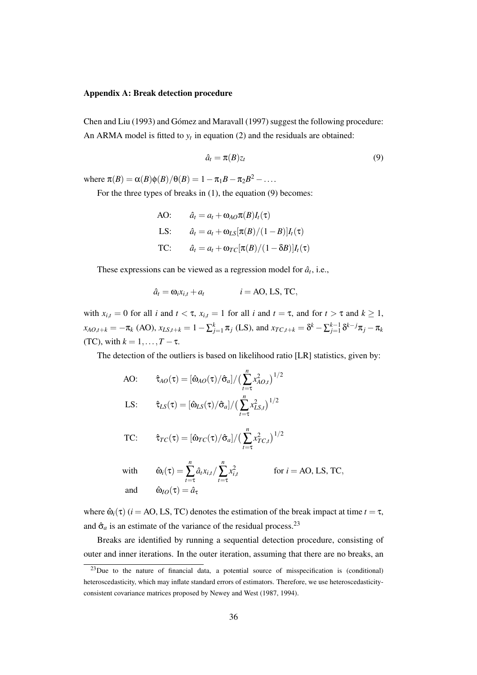#### Appendix A: Break detection procedure

Chen and Liu (1993) and Gómez and Maravall (1997) suggest the following procedure: An ARMA model is fitted to  $y_t$  in equation (2) and the residuals are obtained:

$$
\hat{a}_t = \pi(B)z_t \tag{9}
$$

where  $\pi(B) = \alpha(B)\phi(B)/\theta(B) = 1 - \pi_1B - \pi_2B^2 - \dots$ 

For the three types of breaks in (1), the equation (9) becomes:

AO:  $\hat{a}_t = a_t + \omega_{AO} \pi(B) I_t(\tau)$ LS:  $\hat{a}_t = a_t + \omega_{LS}[\pi(B)/(1-B)]I_t(\tau)$ TC:  $\hat{a}_t = a_t + \omega_{TC}[\pi(B)/(1-\delta B)]I_t(\tau)$ 

These expressions can be viewed as a regression model for  $\hat{a}_t$ , i.e.,

$$
\hat{a}_t = \omega_i x_{i,t} + a_t \qquad i = \text{AO, LS, TC},
$$

with  $x_{i,t} = 0$  for all *i* and  $t < \tau$ ,  $x_{i,t} = 1$  for all *i* and  $t = \tau$ , and for  $t > \tau$  and  $k \ge 1$ ,  $x_{AO,t+k} = -\pi_k$  (AO),  $x_{LS,t+k} = 1 - \sum_{j=1}^k \pi_j$  (LS), and  $x_{TC,t+k} = \delta^k - \sum_{j=1}^{k-1} \delta^{k-j} \pi_j - \pi_k$ (TC), with  $k = 1, \ldots, T - \tau$ .

The detection of the outliers is based on likelihood ratio [LR] statistics, given by:

AO: 
$$
\hat{\tau}_{AO}(\tau) = [\hat{\omega}_{AO}(\tau)/\hat{\sigma}_a]/(\sum_{t=\tau}^{n} x_{AO,t}^2)^{1/2}
$$
LS: 
$$
\hat{\tau}_{LS}(\tau) = [\hat{\omega}_{LS}(\tau)/\hat{\sigma}_a]/(\sum_{t=\tau}^{n} x_{LS,t}^2)^{1/2}
$$

TC: 
$$
\hat{\tau}_{TC}(\tau) = [\hat{\omega}_{TC}(\tau)/\hat{\sigma}_a]/(\sum_{t=\tau}^{n} x_{TC,t}^2)^{1/2}
$$

with  $\hat{\omega}_i(\tau) =$ and  $\hat{\omega}_{I_O}(\tau) = \hat{a}$ 

$$
\sum_{t=\tau}^{n} \hat{a}_t x_{i,t} / \sum_{t=\tau}^{n} x_{i,t}^2
$$
 for  $i = \text{AO}, \text{LS}, \text{TC},$   
 $= \hat{a}_\tau$ 

where  $\hat{\omega}_i(\tau)$  (*i* = AO, LS, TC) denotes the estimation of the break impact at time  $t = \tau$ , and  $\hat{\sigma}_a$  is an estimate of the variance of the residual process.<sup>23</sup>

Breaks are identified by running a sequential detection procedure, consisting of outer and inner iterations. In the outer iteration, assuming that there are no breaks, an

 $^{23}$ Due to the nature of financial data, a potential source of misspecification is (conditional) heteroscedasticity, which may inflate standard errors of estimators. Therefore, we use heteroscedasticityconsistent covariance matrices proposed by Newey and West (1987, 1994).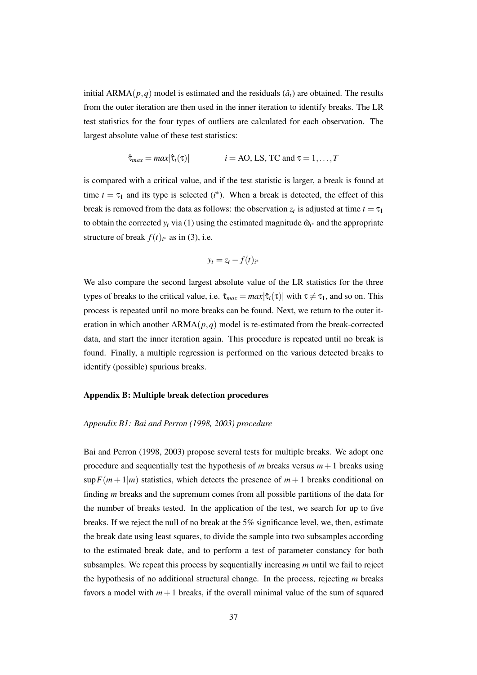initial  $ARMA(p,q)$  model is estimated and the residuals  $(\hat{a}_t)$  are obtained. The results from the outer iteration are then used in the inner iteration to identify breaks. The LR test statistics for the four types of outliers are calculated for each observation. The largest absolute value of these test statistics:

$$
\hat{\tau}_{max} = max|\hat{\tau}_i(\tau)|
$$
   
  $i = \text{AO}, \text{LS}, \text{TC}, \text{and } \tau = 1, \ldots, T$ 

is compared with a critical value, and if the test statistic is larger, a break is found at time  $t = \tau_1$  and its type is selected ( $i^*$ ). When a break is detected, the effect of this break is removed from the data as follows: the observation  $z_t$  is adjusted at time  $t = \tau_1$ to obtain the corrected  $y_t$  via (1) using the estimated magnitude  $\hat{\omega}_{i^*}$  and the appropriate structure of break  $f(t)_{i^*}$  as in (3), i.e.

$$
y_t = z_t - f(t)_{i^*}
$$

We also compare the second largest absolute value of the LR statistics for the three types of breaks to the critical value, i.e.  $\hat{\tau}_{max} = max|\hat{\tau}_i(\tau)|$  with  $\tau \neq \tau_1$ , and so on. This process is repeated until no more breaks can be found. Next, we return to the outer iteration in which another  $ARMA(p,q)$  model is re-estimated from the break-corrected data, and start the inner iteration again. This procedure is repeated until no break is found. Finally, a multiple regression is performed on the various detected breaks to identify (possible) spurious breaks.

#### Appendix B: Multiple break detection procedures

#### *Appendix B1: Bai and Perron (1998, 2003) procedure*

Bai and Perron (1998, 2003) propose several tests for multiple breaks. We adopt one procedure and sequentially test the hypothesis of *m* breaks versus  $m+1$  breaks using  $\sup F(m+1|m)$  statistics, which detects the presence of  $m+1$  breaks conditional on finding *m* breaks and the supremum comes from all possible partitions of the data for the number of breaks tested. In the application of the test, we search for up to five breaks. If we reject the null of no break at the 5% significance level, we, then, estimate the break date using least squares, to divide the sample into two subsamples according to the estimated break date, and to perform a test of parameter constancy for both subsamples. We repeat this process by sequentially increasing *m* until we fail to reject the hypothesis of no additional structural change. In the process, rejecting *m* breaks favors a model with  $m+1$  breaks, if the overall minimal value of the sum of squared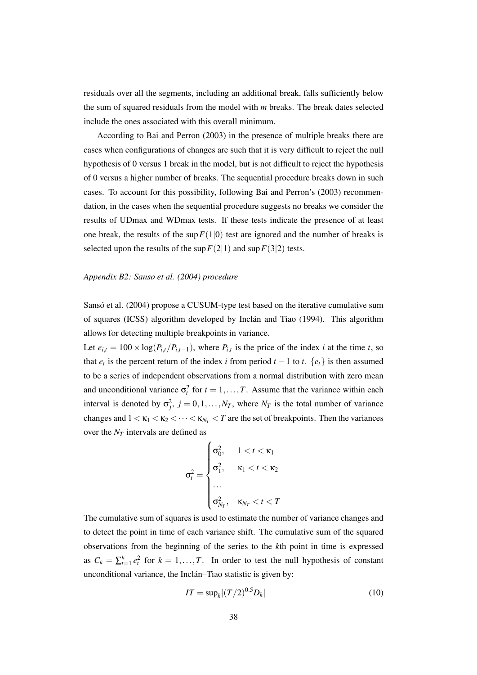residuals over all the segments, including an additional break, falls sufficiently below the sum of squared residuals from the model with *m* breaks. The break dates selected include the ones associated with this overall minimum.

According to Bai and Perron (2003) in the presence of multiple breaks there are cases when configurations of changes are such that it is very difficult to reject the null hypothesis of 0 versus 1 break in the model, but is not difficult to reject the hypothesis of 0 versus a higher number of breaks. The sequential procedure breaks down in such cases. To account for this possibility, following Bai and Perron's (2003) recommendation, in the cases when the sequential procedure suggests no breaks we consider the results of UDmax and WDmax tests. If these tests indicate the presence of at least one break, the results of the sup  $F(1|0)$  test are ignored and the number of breaks is selected upon the results of the sup  $F(2|1)$  and sup  $F(3|2)$  tests.

#### *Appendix B2: Sanso et al. (2004) procedure*

Sansó et al. (2004) propose a CUSUM-type test based on the iterative cumulative sum of squares (ICSS) algorithm developed by Inclán and Tiao (1994). This algorithm allows for detecting multiple breakpoints in variance.

Let  $e_{i,t} = 100 \times \log(P_{i,t}/P_{i,t-1})$ , where  $P_{i,t}$  is the price of the index *i* at the time *t*, so that  $e_t$  is the percent return of the index *i* from period  $t - 1$  to  $t$ .  $\{e_t\}$  is then assumed to be a series of independent observations from a normal distribution with zero mean and unconditional variance  $\sigma_t^2$  for  $t = 1, \ldots, T$ . Assume that the variance within each interval is denoted by  $\sigma_j^2$ ,  $j = 0, 1, \ldots, N_T$ , where  $N_T$  is the total number of variance changes and  $1 < \kappa_1 < \kappa_2 < \cdots < \kappa_{N_T} < T$  are the set of breakpoints. Then the variances over the *N<sup>T</sup>* intervals are defined as

$$
\sigma_t^2 = \begin{cases} \sigma_0^2, & 1 < t < \kappa_1 \\ \sigma_1^2, & \kappa_1 < t < \kappa_2 \\ \cdots \\ \sigma_{N_T}^2, & \kappa_{N_T} < t < T \end{cases}
$$

The cumulative sum of squares is used to estimate the number of variance changes and to detect the point in time of each variance shift. The cumulative sum of the squared observations from the beginning of the series to the *k*th point in time is expressed as  $C_k = \sum_{t=1}^k e_t^2$  for  $k = 1, ..., T$ . In order to test the null hypothesis of constant unconditional variance, the Inclán–Tiao statistic is given by:

$$
IT = \sup_k |(T/2)^{0.5} D_k|
$$
 (10)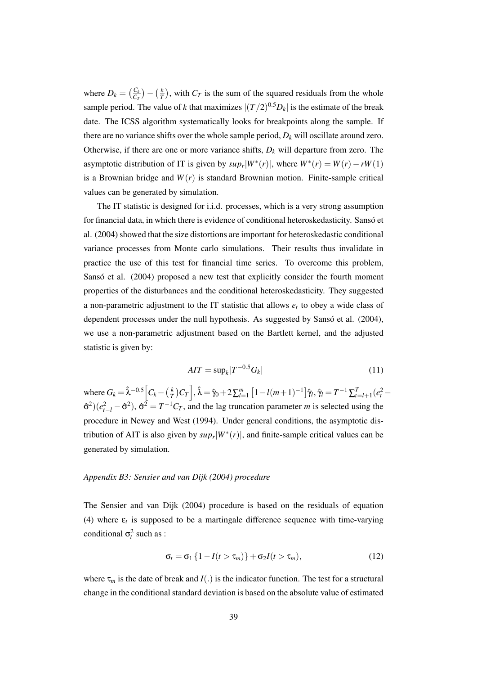where  $D_k = \left(\frac{C_k}{C_L}\right)$  $\left(\frac{C_k}{C_T}\right) - \left(\frac{k}{T}\right)$  $\frac{k}{T}$ ), with *C<sub>T</sub>* is the sum of the squared residuals from the whole sample period. The value of *k* that maximizes  $|(T/2)^{0.5}D_k|$  is the estimate of the break date. The ICSS algorithm systematically looks for breakpoints along the sample. If there are no variance shifts over the whole sample period,  $D_k$  will oscillate around zero. Otherwise, if there are one or more variance shifts,  $D_k$  will departure from zero. The asymptotic distribution of IT is given by  $sup_r |W^*(r)|$ , where  $W^*(r) = W(r) - rW(1)$ is a Brownian bridge and  $W(r)$  is standard Brownian motion. Finite-sample critical values can be generated by simulation.

The IT statistic is designed for i.i.d. processes, which is a very strong assumption for financial data, in which there is evidence of conditional heteroskedasticity. Sansó et al. (2004) showed that the size distortions are important for heteroskedastic conditional variance processes from Monte carlo simulations. Their results thus invalidate in practice the use of this test for financial time series. To overcome this problem, Sansó et al. (2004) proposed a new test that explicitly consider the fourth moment properties of the disturbances and the conditional heteroskedasticity. They suggested a non-parametric adjustment to the IT statistic that allows *e<sup>t</sup>* to obey a wide class of dependent processes under the null hypothesis. As suggested by Sansó et al. (2004), we use a non-parametric adjustment based on the Bartlett kernel, and the adjusted statistic is given by:

$$
AIT = \sup_k |T^{-0.5} G_k| \tag{11}
$$

where  $G_k = \hat{\lambda}^{-0.5} \left[ C_k - \left( \frac{k}{7} \right) \right]$  $\left[\frac{k}{T}\right)C_T\right], \hat{\lambda} = \hat{\gamma}_0 + 2\sum_{l=1}^m\left[1 - l(m+1)^{-1}\right]\hat{\gamma}_l, \hat{\gamma}_l = T^{-1}\sum_{l=l+1}^T(e_l^2 - 1)$  $\hat{\sigma}^2$ )( $e_{t-l}^2 - \hat{\sigma}^2$ ),  $\hat{\sigma}^2 = T^{-1}C_T$ , and the lag truncation parameter *m* is selected using the procedure in Newey and West (1994). Under general conditions, the asymptotic distribution of AIT is also given by  $sup_r |W^*(r)|$ , and finite-sample critical values can be generated by simulation.

#### *Appendix B3: Sensier and van Dijk (2004) procedure*

The Sensier and van Dijk (2004) procedure is based on the residuals of equation (4) where  $\varepsilon_t$  is supposed to be a martingale difference sequence with time-varying conditional  $\sigma_t^2$  such as :

$$
\sigma_t = \sigma_1 \left\{ 1 - I(t > \tau_m) \right\} + \sigma_2 I(t > \tau_m), \tag{12}
$$

where  $\tau_m$  is the date of break and *I*(.) is the indicator function. The test for a structural change in the conditional standard deviation is based on the absolute value of estimated